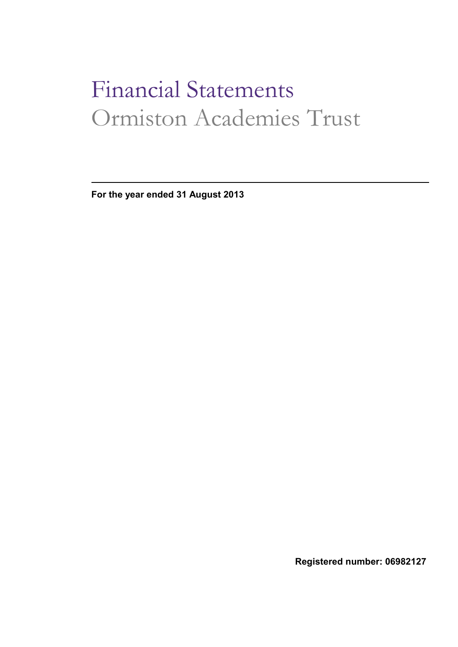# Financial Statements Ormiston Academies Trust

**For the year ended 31 August 2013**

**Registered number: 06982127**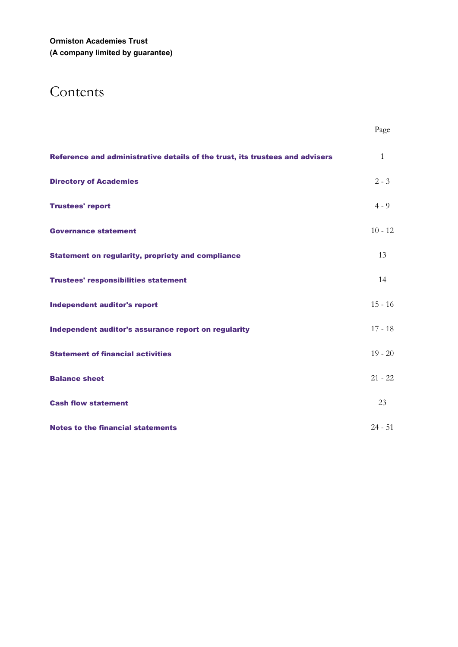# Contents

|                                                                              | Page         |
|------------------------------------------------------------------------------|--------------|
| Reference and administrative details of the trust, its trustees and advisers | $\mathbf{1}$ |
| <b>Directory of Academies</b>                                                | $2 - 3$      |
| <b>Trustees' report</b>                                                      | $4 - 9$      |
| <b>Governance statement</b>                                                  | $10 - 12$    |
| <b>Statement on regularity, propriety and compliance</b>                     | 13           |
| <b>Trustees' responsibilities statement</b>                                  | 14           |
| <b>Independent auditor's report</b>                                          | $15 - 16$    |
| Independent auditor's assurance report on regularity                         | $17 - 18$    |
| <b>Statement of financial activities</b>                                     | $19 - 20$    |
| <b>Balance sheet</b>                                                         | $21 - 22$    |
| <b>Cash flow statement</b>                                                   | 23           |
| <b>Notes to the financial statements</b>                                     | $24 - 51$    |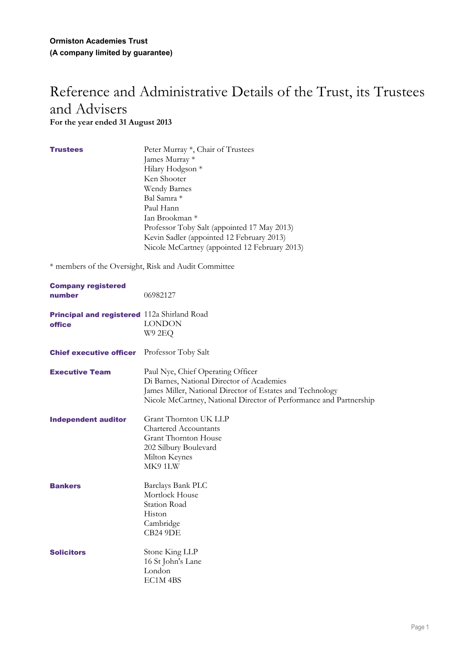**Trustees** Peter Murray \*, Chair of Trustees

## Reference and Administrative Details of the Trust, its Trustees and Advisers **For the year ended 31 August 2013**

James Murray \* Hilary Hodgson \* Ken Shooter Wendy Barnes Bal Samra \* Paul Hann Ian Brookman \* Professor Toby Salt (appointed 17 May 2013) Kevin Sadler (appointed 12 February 2013) Nicole McCartney (appointed 12 February 2013) \* members of the Oversight, Risk and Audit Committee **Company registered number** 06982127 **Principal and registered** 112a Shirland Road **office** LONDON W9 2EQ **Chief executive officer** Professor Toby Salt **Executive Team** Paul Nye, Chief Operating Officer Di Barnes, National Director of Academies James Miller, National Director of Estates and Technology Nicole McCartney, National Director of Performance and Partnership **Independent auditor** Grant Thornton UK LLP Chartered Accountants Grant Thornton House 202 Silbury Boulevard Milton Keynes MK9 1LW **Bankers** Barclays Bank PLC Mortlock House Station Road Histon Cambridge CB24 9DE **Solicitors** Stone King LLP 16 St John's Lane London

EC1M 4BS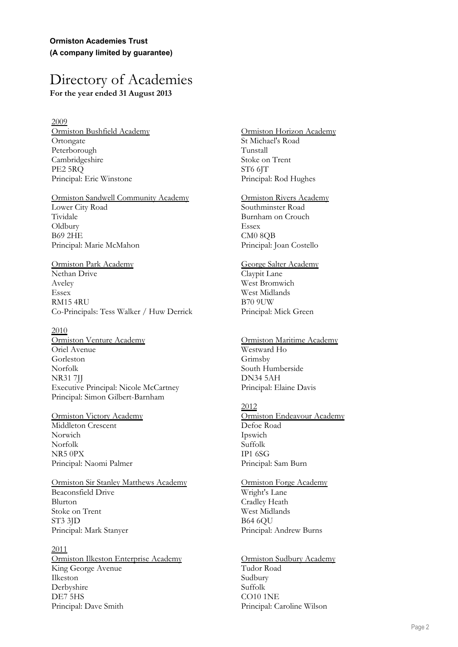# Directory of Academies

**For the year ended 31 August 2013**

### 2009

Ormiston Bushfield Academy Ormiston Horizon Academy Ortongate St Michael's Road Peterborough Tunstall Cambridgeshire Stoke on Trent PE2 5RQ ST6 6JT Principal: Eric Winstone Principal: Rod Hughes

### Ormiston Sandwell Community Academy Ormiston Rivers Academy

Lower City Road Southminster Road Tividale Burnham on Crouch Oldbury Essex B69 2HE CM0 8QB Principal: Marie McMahon Principal: Joan Costello

### Ormiston Park Academy George Salter Academy

Nethan Drive Claypit Lane Aveley West Bromwich Essex West Midlands RM15 4RU B70 9UW Co-Principals: Tess Walker / Huw Derrick Principal: Mick Green

### 2010

Ormiston Venture Academy Ormiston Maritime Academy Oriel Avenue Westward Ho Gorleston Grimsby Norfolk South Humberside NR31 7JJ DN34 5AH Executive Principal: Nicole McCartney Principal: Elaine Davis Principal: Simon Gilbert-Barnham

Middleton Crescent Norwich Ipswich Norfolk Suffolk NR5 0PX IP1 6SG Principal: Naomi Palmer Principal: Sam Burn

Ormiston Sir Stanley Matthews Academy Ormiston Forge Academy Beaconsfield Drive Wright's Lane Blurton Cradley Heath Stoke on Trent West Midlands ST3 3JD B64 6QU Principal: Mark Stanyer Principal: Andrew Burns

### 2011

Ormiston Ilkeston Enterprise Academy **Ormiston Sudbury Academy** King George Avenue Tudor Road Ilkeston Sudbury Derbyshire Suffolk DE7 5HS CO10 1NE Principal: Dave Smith Principal: Caroline Wilson

### 2012

Ormiston Victory Academy<br>
Middleton Crescent<br>
Defoe Road<br>
Defoe Road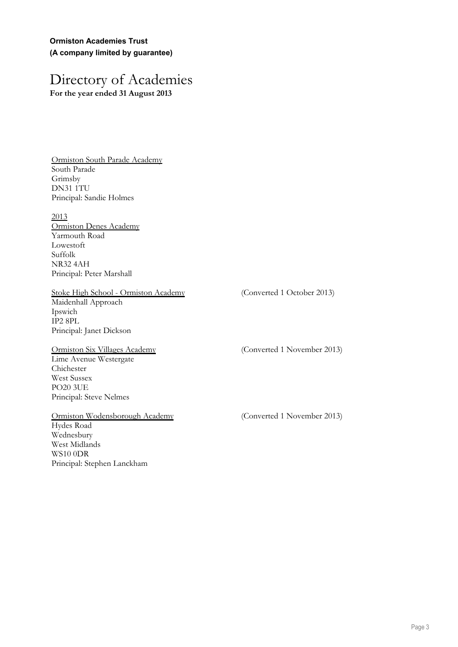**Ormiston Academies Trust (A company limited by guarantee)**

# Directory of Academies

**For the year ended 31 August 2013**

Ormiston South Parade Academy South Parade Grimsby DN31 1TU Principal: Sandie Holmes

### 2013

Ormiston Denes Academy Yarmouth Road Lowestoft Suffolk NR32 4AH Principal: Peter Marshall

### Stoke High School - Ormiston Academy (Converted 1 October 2013)

Maidenhall Approach Ipswich IP2 8PL Principal: Janet Dickson

Lime Avenue Westergate Chichester West Sussex PO20 3UE Principal: Steve Nelmes

Ormiston Wodensborough Academy (Converted 1 November 2013) Hydes Road Wednesbury West Midlands WS10 0DR Principal: Stephen Lanckham

Ormiston Six Villages Academy (Converted 1 November 2013)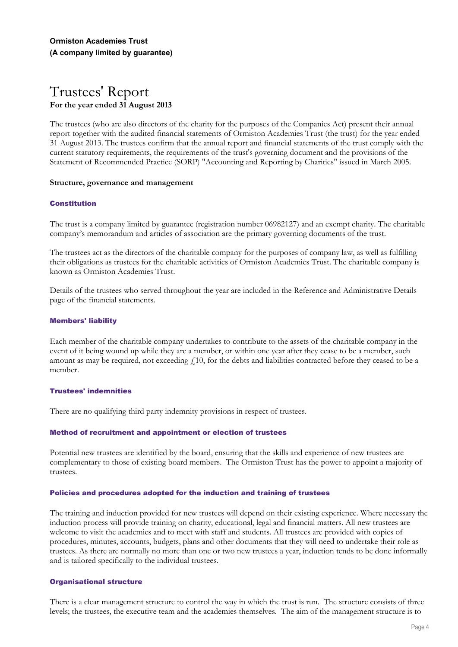## Trustees' Report **For the year ended 31 August 2013**

The trustees (who are also directors of the charity for the purposes of the Companies Act) present their annual report together with the audited financial statements of Ormiston Academies Trust (the trust) for the year ended 31 August 2013. The trustees confirm that the annual report and financial statements of the trust comply with the current statutory requirements, the requirements of the trust's governing document and the provisions of the Statement of Recommended Practice (SORP) "Accounting and Reporting by Charities" issued in March 2005.

### **Structure, governance and management**

### **Constitution**

The trust is a company limited by guarantee (registration number 06982127) and an exempt charity. The charitable company's memorandum and articles of association are the primary governing documents of the trust.

The trustees act as the directors of the charitable company for the purposes of company law, as well as fulfilling their obligations as trustees for the charitable activities of Ormiston Academies Trust. The charitable company is known as Ormiston Academies Trust.

Details of the trustees who served throughout the year are included in the Reference and Administrative Details page of the financial statements.

### **Members' liability**

Each member of the charitable company undertakes to contribute to the assets of the charitable company in the event of it being wound up while they are a member, or within one year after they cease to be a member, such amount as may be required, not exceeding  $\ell$ 10, for the debts and liabilities contracted before they ceased to be a member.

### **Trustees' indemnities**

There are no qualifying third party indemnity provisions in respect of trustees.

### **Method of recruitment and appointment or election of trustees**

Potential new trustees are identified by the board, ensuring that the skills and experience of new trustees are complementary to those of existing board members. The Ormiston Trust has the power to appoint a majority of trustees.

### **Policies and procedures adopted for the induction and training of trustees**

The training and induction provided for new trustees will depend on their existing experience. Where necessary the induction process will provide training on charity, educational, legal and financial matters. All new trustees are welcome to visit the academies and to meet with staff and students. All trustees are provided with copies of procedures, minutes, accounts, budgets, plans and other documents that they will need to undertake their role as trustees. As there are normally no more than one or two new trustees a year, induction tends to be done informally and is tailored specifically to the individual trustees.

### **Organisational structure**

There is a clear management structure to control the way in which the trust is run. The structure consists of three levels; the trustees, the executive team and the academies themselves. The aim of the management structure is to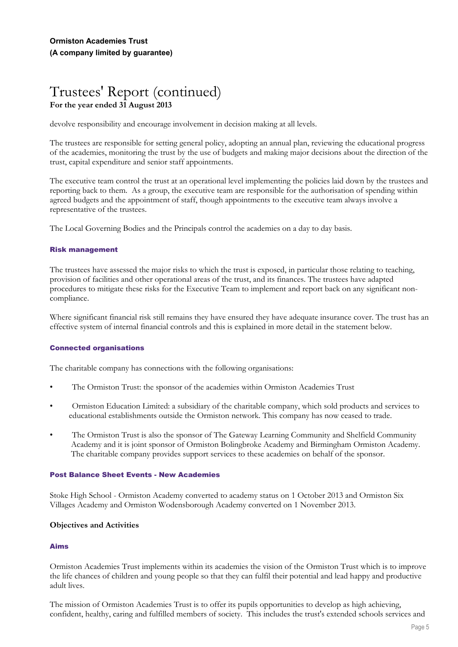devolve responsibility and encourage involvement in decision making at all levels.

The trustees are responsible for setting general policy, adopting an annual plan, reviewing the educational progress of the academies, monitoring the trust by the use of budgets and making major decisions about the direction of the trust, capital expenditure and senior staff appointments.

The executive team control the trust at an operational level implementing the policies laid down by the trustees and reporting back to them. As a group, the executive team are responsible for the authorisation of spending within agreed budgets and the appointment of staff, though appointments to the executive team always involve a representative of the trustees.

The Local Governing Bodies and the Principals control the academies on a day to day basis.

### **Risk management**

The trustees have assessed the major risks to which the trust is exposed, in particular those relating to teaching, provision of facilities and other operational areas of the trust, and its finances. The trustees have adapted procedures to mitigate these risks for the Executive Team to implement and report back on any significant noncompliance.

Where significant financial risk still remains they have ensured they have adequate insurance cover. The trust has an effective system of internal financial controls and this is explained in more detail in the statement below.

### **Connected organisations**

The charitable company has connections with the following organisations:

- The Ormiston Trust: the sponsor of the academies within Ormiston Academies Trust
- Ormiston Education Limited: a subsidiary of the charitable company, which sold products and services to educational establishments outside the Ormiston network. This company has now ceased to trade.
- The Ormiston Trust is also the sponsor of The Gateway Learning Community and Shelfield Community Academy and it is joint sponsor of Ormiston Bolingbroke Academy and Birmingham Ormiston Academy. The charitable company provides support services to these academies on behalf of the sponsor.

### **Post Balance Sheet Events - New Academies**

Stoke High School - Ormiston Academy converted to academy status on 1 October 2013 and Ormiston Six Villages Academy and Ormiston Wodensborough Academy converted on 1 November 2013.

### **Objectives and Activities**

### **Aims**

Ormiston Academies Trust implements within its academies the vision of the Ormiston Trust which is to improve the life chances of children and young people so that they can fulfil their potential and lead happy and productive adult lives.

The mission of Ormiston Academies Trust is to offer its pupils opportunities to develop as high achieving, confident, healthy, caring and fulfilled members of society. This includes the trust's extended schools services and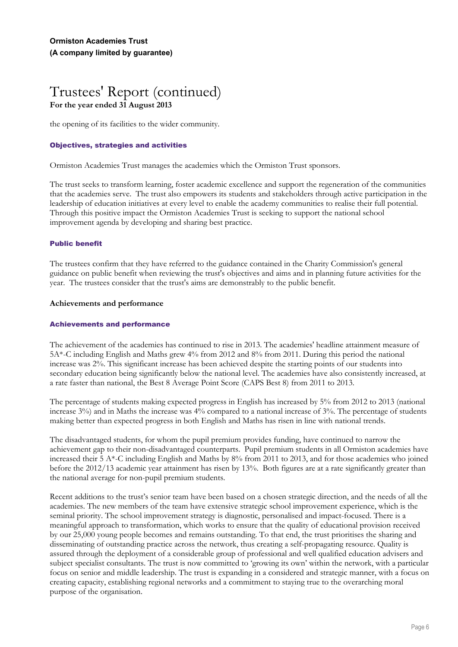the opening of its facilities to the wider community.

### **Objectives, strategies and activities**

Ormiston Academies Trust manages the academies which the Ormiston Trust sponsors.

The trust seeks to transform learning, foster academic excellence and support the regeneration of the communities that the academies serve. The trust also empowers its students and stakeholders through active participation in the leadership of education initiatives at every level to enable the academy communities to realise their full potential. Through this positive impact the Ormiston Academies Trust is seeking to support the national school improvement agenda by developing and sharing best practice.

### **Public benefit**

The trustees confirm that they have referred to the guidance contained in the Charity Commission's general guidance on public benefit when reviewing the trust's objectives and aims and in planning future activities for the year. The trustees consider that the trust's aims are demonstrably to the public benefit.

### **Achievements and performance**

### **Achievements and performance**

The achievement of the academies has continued to rise in 2013. The academies' headline attainment measure of 5A\*-C including English and Maths grew 4% from 2012 and 8% from 2011. During this period the national increase was 2%. This significant increase has been achieved despite the starting points of our students into secondary education being significantly below the national level. The academies have also consistently increased, at a rate faster than national, the Best 8 Average Point Score (CAPS Best 8) from 2011 to 2013.

The percentage of students making expected progress in English has increased by 5% from 2012 to 2013 (national increase 3%) and in Maths the increase was 4% compared to a national increase of 3%. The percentage of students making better than expected progress in both English and Maths has risen in line with national trends.

The disadvantaged students, for whom the pupil premium provides funding, have continued to narrow the achievement gap to their non-disadvantaged counterparts. Pupil premium students in all Ormiston academies have increased their 5 A\*-C including English and Maths by 8% from 2011 to 2013, and for those academies who joined before the 2012/13 academic year attainment has risen by 13%. Both figures are at a rate significantly greater than the national average for non-pupil premium students.

Recent additions to the trust's senior team have been based on a chosen strategic direction, and the needs of all the academies. The new members of the team have extensive strategic school improvement experience, which is the seminal priority. The school improvement strategy is diagnostic, personalised and impact-focused. There is a meaningful approach to transformation, which works to ensure that the quality of educational provision received by our 25,000 young people becomes and remains outstanding. To that end, the trust prioritises the sharing and disseminating of outstanding practice across the network, thus creating a self-propagating resource. Quality is assured through the deployment of a considerable group of professional and well qualified education advisers and subject specialist consultants. The trust is now committed to 'growing its own' within the network, with a particular focus on senior and middle leadership. The trust is expanding in a considered and strategic manner, with a focus on creating capacity, establishing regional networks and a commitment to staying true to the overarching moral purpose of the organisation.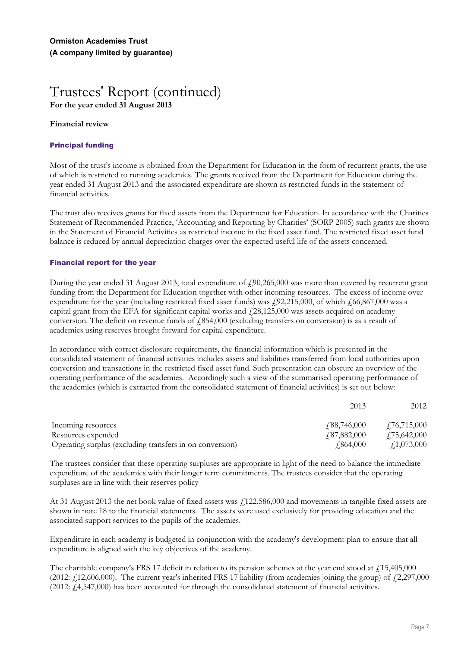### **Financial review**

### **Principal funding**

Most of the trust's income is obtained from the Department for Education in the form of recurrent grants, the use of which is restricted to running academies. The grants received from the Department for Education during the year ended 31 August 2013 and the associated expenditure are shown as restricted funds in the statement of financial activities.

The trust also receives grants for fixed assets from the Department for Education. In accordance with the Charities Statement of Recommended Practice, 'Accounting and Reporting by Charities' (SORP 2005) such grants are shown in the Statement of Financial Activities as restricted income in the fixed asset fund. The restricted fixed asset fund balance is reduced by annual depreciation charges over the expected useful life of the assets concerned.

### **Financial report for the year**

During the year ended 31 August 2013, total expenditure of  $\mu$ 90,265,000 was more than covered by recurrent grant funding from the Department for Education together with other incoming resources. The excess of income over expenditure for the year (including restricted fixed asset funds) was  $\epsilon$  92,215,000, of which  $\epsilon$  66,867,000 was a capital grant from the EFA for significant capital works and  $f(28,125,000)$  was assets acquired on academy conversion. The deficit on revenue funds of  $\mu$   $(854,000)$  (excluding transfers on conversion) is as a result of academies using reserves brought forward for capital expenditure.

In accordance with correct disclosure requirements, the financial information which is presented in the consolidated statement of financial activities includes assets and liabilities transferred from local authorities upon conversion and transactions in the restricted fixed asset fund. Such presentation can obscure an overview of the operating performance of the academies. Accordingly such a view of the summarised operating performance of the academies (which is extracted from the consolidated statement of financial activities) is set out below:

|                                                          | 2013                 | 2012                |
|----------------------------------------------------------|----------------------|---------------------|
| Incoming resources                                       | $\sqrt{.88,746,000}$ | $\sqrt{76,715,000}$ |
| Resources expended                                       | $\sqrt{.87,882,000}$ | $\sqrt{75,642,000}$ |
| Operating surplus (excluding transfers in on conversion) | £864,000             | f1,073,000          |

The trustees consider that these operating surpluses are appropriate in light of the need to balance the immediate expenditure of the academies with their longer term commitments. The trustees consider that the operating surpluses are in line with their reserves policy

At 31 August 2013 the net book value of fixed assets was  $\frac{1}{2}$  (122,586,000 and movements in tangible fixed assets are shown in note 18 to the financial statements. The assets were used exclusively for providing education and the associated support services to the pupils of the academies.

Expenditure in each academy is budgeted in conjunction with the academy's development plan to ensure that all expenditure is aligned with the key objectives of the academy.

The charitable company's FRS 17 deficit in relation to its pension schemes at the year end stood at  $\hat{\mu}$ 15,405,000  $(2012: f12,606,000)$ . The current year's inherited FRS 17 liability (from academies joining the group) of  $f2,297,000$ (2012: £4,547,000) has been accounted for through the consolidated statement of financial activities.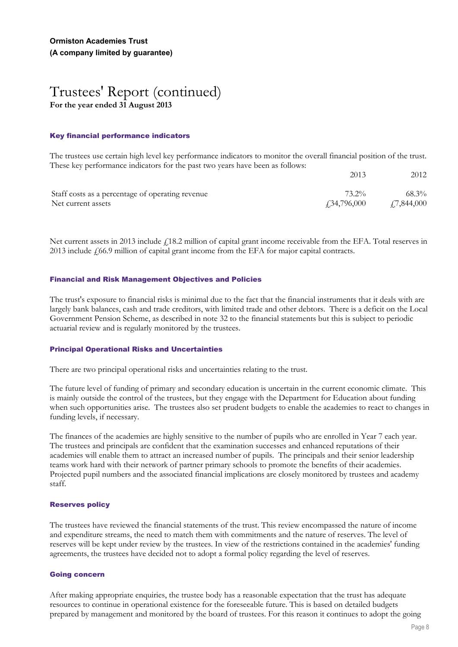### **Key financial performance indicators**

The trustees use certain high level key performance indicators to monitor the overall financial position of the trust. These key performance indicators for the past two years have been as follows:

|                                                                        | 2013                            | 2012                   |
|------------------------------------------------------------------------|---------------------------------|------------------------|
| Staff costs as a percentage of operating revenue<br>Net current assets | 73.2%                           | $68.3\%$<br>f7,844,000 |
|                                                                        | <i>f</i> <sub>34</sub> ,796,000 |                        |

Net current assets in 2013 include  $\ell$ 18.2 million of capital grant income receivable from the EFA. Total reserves in 2013 include  $f(66.9 \text{ million of capital grant income from the EFA for major capital contracts.})$ 

#### **Financial and Risk Management Objectives and Policies**

The trust's exposure to financial risks is minimal due to the fact that the financial instruments that it deals with are largely bank balances, cash and trade creditors, with limited trade and other debtors. There is a deficit on the Local Government Pension Scheme, as described in note 32 to the financial statements but this is subject to periodic actuarial review and is regularly monitored by the trustees.

### **Principal Operational Risks and Uncertainties**

There are two principal operational risks and uncertainties relating to the trust.

The future level of funding of primary and secondary education is uncertain in the current economic climate. This is mainly outside the control of the trustees, but they engage with the Department for Education about funding when such opportunities arise. The trustees also set prudent budgets to enable the academies to react to changes in funding levels, if necessary.

The finances of the academies are highly sensitive to the number of pupils who are enrolled in Year 7 each year. The trustees and principals are confident that the examination successes and enhanced reputations of their academies will enable them to attract an increased number of pupils. The principals and their senior leadership teams work hard with their network of partner primary schools to promote the benefits of their academies. Projected pupil numbers and the associated financial implications are closely monitored by trustees and academy staff.

### **Reserves policy**

The trustees have reviewed the financial statements of the trust. This review encompassed the nature of income and expenditure streams, the need to match them with commitments and the nature of reserves. The level of reserves will be kept under review by the trustees. In view of the restrictions contained in the academies' funding agreements, the trustees have decided not to adopt a formal policy regarding the level of reserves.

### **Going concern**

After making appropriate enquiries, the trustee body has a reasonable expectation that the trust has adequate resources to continue in operational existence for the foreseeable future. This is based on detailed budgets prepared by management and monitored by the board of trustees. For this reason it continues to adopt the going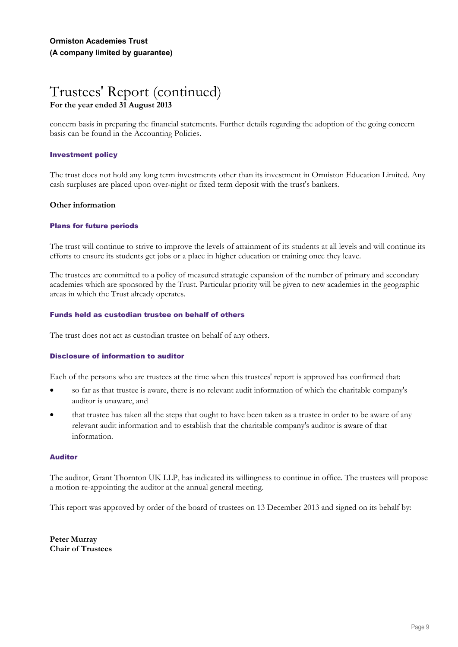concern basis in preparing the financial statements. Further details regarding the adoption of the going concern basis can be found in the Accounting Policies.

### **Investment policy**

The trust does not hold any long term investments other than its investment in Ormiston Education Limited. Any cash surpluses are placed upon over-night or fixed term deposit with the trust's bankers.

### **Other information**

### **Plans for future periods**

The trust will continue to strive to improve the levels of attainment of its students at all levels and will continue its efforts to ensure its students get jobs or a place in higher education or training once they leave.

The trustees are committed to a policy of measured strategic expansion of the number of primary and secondary academies which are sponsored by the Trust. Particular priority will be given to new academies in the geographic areas in which the Trust already operates.

### **Funds held as custodian trustee on behalf of others**

The trust does not act as custodian trustee on behalf of any others.

### **Disclosure of information to auditor**

Each of the persons who are trustees at the time when this trustees' report is approved has confirmed that:

- so far as that trustee is aware, there is no relevant audit information of which the charitable company's auditor is unaware, and
- that trustee has taken all the steps that ought to have been taken as a trustee in order to be aware of any relevant audit information and to establish that the charitable company's auditor is aware of that information.

### **Auditor**

The auditor, Grant Thornton UK LLP, has indicated its willingness to continue in office. The trustees will propose a motion re-appointing the auditor at the annual general meeting.

This report was approved by order of the board of trustees on 13 December 2013 and signed on its behalf by:

**Peter Murray Chair of Trustees**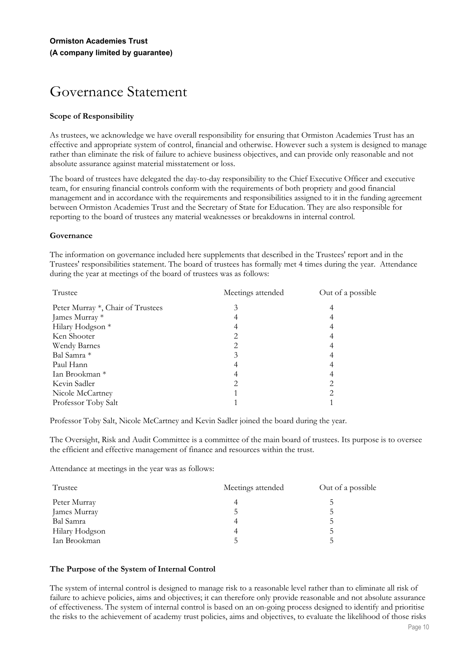# Governance Statement

### **Scope of Responsibility**

As trustees, we acknowledge we have overall responsibility for ensuring that Ormiston Academies Trust has an effective and appropriate system of control, financial and otherwise. However such a system is designed to manage rather than eliminate the risk of failure to achieve business objectives, and can provide only reasonable and not absolute assurance against material misstatement or loss.

The board of trustees have delegated the day-to-day responsibility to the Chief Executive Officer and executive team, for ensuring financial controls conform with the requirements of both propriety and good financial management and in accordance with the requirements and responsibilities assigned to it in the funding agreement between Ormiston Academies Trust and the Secretary of State for Education. They are also responsible for reporting to the board of trustees any material weaknesses or breakdowns in internal control.

### **Governance**

The information on governance included here supplements that described in the Trustees' report and in the Trustees' responsibilities statement. The board of trustees has formally met 4 times during the year. Attendance during the year at meetings of the board of trustees was as follows:

| Trustee                           | Meetings attended | Out of a possible |  |
|-----------------------------------|-------------------|-------------------|--|
| Peter Murray *, Chair of Trustees |                   |                   |  |
| James Murray *                    |                   |                   |  |
| Hilary Hodgson <sup>*</sup>       |                   |                   |  |
| Ken Shooter                       |                   |                   |  |
| Wendy Barnes                      |                   |                   |  |
| Bal Samra *                       |                   |                   |  |
| Paul Hann                         |                   |                   |  |
| Ian Brookman *                    |                   |                   |  |
| Kevin Sadler                      |                   |                   |  |
| Nicole McCartney                  |                   |                   |  |
| Professor Toby Salt               |                   |                   |  |

Professor Toby Salt, Nicole McCartney and Kevin Sadler joined the board during the year.

The Oversight, Risk and Audit Committee is a committee of the main board of trustees. Its purpose is to oversee the efficient and effective management of finance and resources within the trust.

Attendance at meetings in the year was as follows:

| Trustee        | Meetings attended | Out of a possible |  |
|----------------|-------------------|-------------------|--|
| Peter Murray   |                   |                   |  |
| James Murray   |                   |                   |  |
| Bal Samra      |                   |                   |  |
| Hilary Hodgson |                   |                   |  |
| Ian Brookman   |                   |                   |  |

### **The Purpose of the System of Internal Control**

The system of internal control is designed to manage risk to a reasonable level rather than to eliminate all risk of failure to achieve policies, aims and objectives; it can therefore only provide reasonable and not absolute assurance of effectiveness. The system of internal control is based on an on-going process designed to identify and prioritise the risks to the achievement of academy trust policies, aims and objectives, to evaluate the likelihood of those risks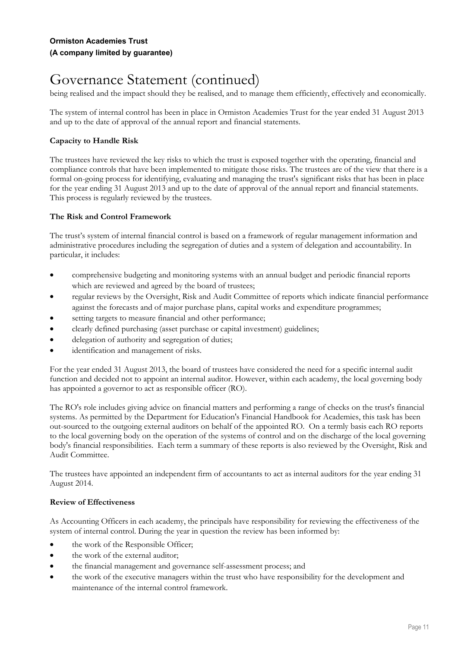### **Ormiston Academies Trust (A company limited by guarantee)**

# Governance Statement (continued)

being realised and the impact should they be realised, and to manage them efficiently, effectively and economically.

The system of internal control has been in place in Ormiston Academies Trust for the year ended 31 August 2013 and up to the date of approval of the annual report and financial statements.

### **Capacity to Handle Risk**

The trustees have reviewed the key risks to which the trust is exposed together with the operating, financial and compliance controls that have been implemented to mitigate those risks. The trustees are of the view that there is a formal on-going process for identifying, evaluating and managing the trust's significant risks that has been in place for the year ending 31 August 2013 and up to the date of approval of the annual report and financial statements. This process is regularly reviewed by the trustees.

### **The Risk and Control Framework**

The trust's system of internal financial control is based on a framework of regular management information and administrative procedures including the segregation of duties and a system of delegation and accountability. In particular, it includes:

- comprehensive budgeting and monitoring systems with an annual budget and periodic financial reports which are reviewed and agreed by the board of trustees;
- regular reviews by the Oversight, Risk and Audit Committee of reports which indicate financial performance against the forecasts and of major purchase plans, capital works and expenditure programmes;
- setting targets to measure financial and other performance;
- clearly defined purchasing (asset purchase or capital investment) guidelines;
- delegation of authority and segregation of duties;
- identification and management of risks.

For the year ended 31 August 2013, the board of trustees have considered the need for a specific internal audit function and decided not to appoint an internal auditor. However, within each academy, the local governing body has appointed a governor to act as responsible officer (RO).

The RO's role includes giving advice on financial matters and performing a range of checks on the trust's financial systems. As permitted by the Department for Education's Financial Handbook for Academies, this task has been out-sourced to the outgoing external auditors on behalf of the appointed RO. On a termly basis each RO reports to the local governing body on the operation of the systems of control and on the discharge of the local governing body's financial responsibilities. Each term a summary of these reports is also reviewed by the Oversight, Risk and Audit Committee.

The trustees have appointed an independent firm of accountants to act as internal auditors for the year ending 31 August 2014.

### **Review of Effectiveness**

As Accounting Officers in each academy, the principals have responsibility for reviewing the effectiveness of the system of internal control. During the year in question the review has been informed by:

- the work of the Responsible Officer;
- the work of the external auditor;
- the financial management and governance self-assessment process; and
- the work of the executive managers within the trust who have responsibility for the development and maintenance of the internal control framework.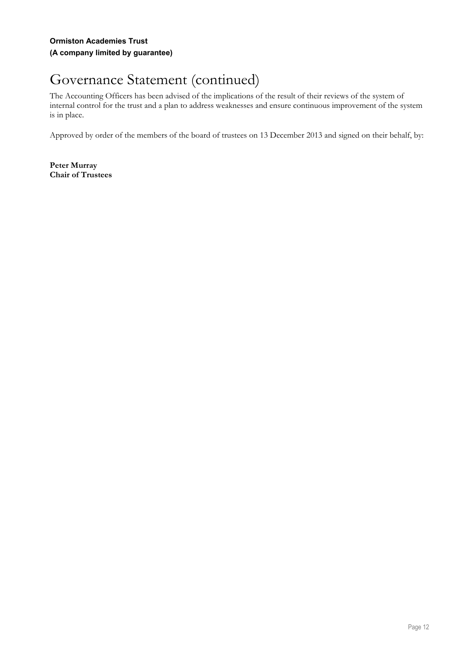### **Ormiston Academies Trust (A company limited by guarantee)**

# Governance Statement (continued)

The Accounting Officers has been advised of the implications of the result of their reviews of the system of internal control for the trust and a plan to address weaknesses and ensure continuous improvement of the system is in place.

Approved by order of the members of the board of trustees on 13 December 2013 and signed on their behalf, by:

**Peter Murray Chair of Trustees**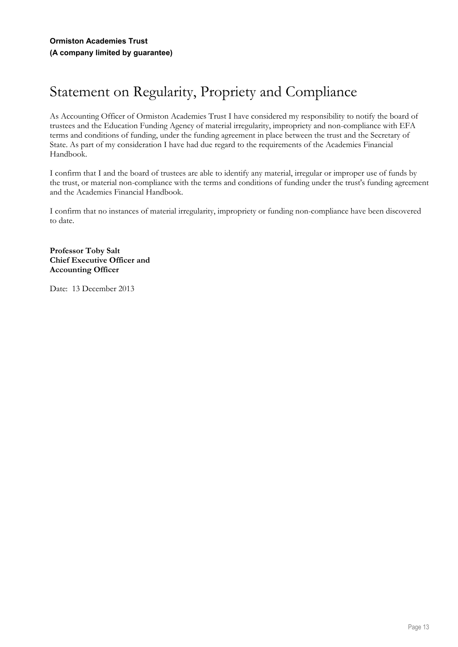# Statement on Regularity, Propriety and Compliance

As Accounting Officer of Ormiston Academies Trust I have considered my responsibility to notify the board of trustees and the Education Funding Agency of material irregularity, impropriety and non-compliance with EFA terms and conditions of funding, under the funding agreement in place between the trust and the Secretary of State. As part of my consideration I have had due regard to the requirements of the Academies Financial Handbook.

I confirm that I and the board of trustees are able to identify any material, irregular or improper use of funds by the trust, or material non-compliance with the terms and conditions of funding under the trust's funding agreement and the Academies Financial Handbook.

I confirm that no instances of material irregularity, impropriety or funding non-compliance have been discovered to date.

**Professor Toby Salt Chief Executive Officer and Accounting Officer**

Date: 13 December 2013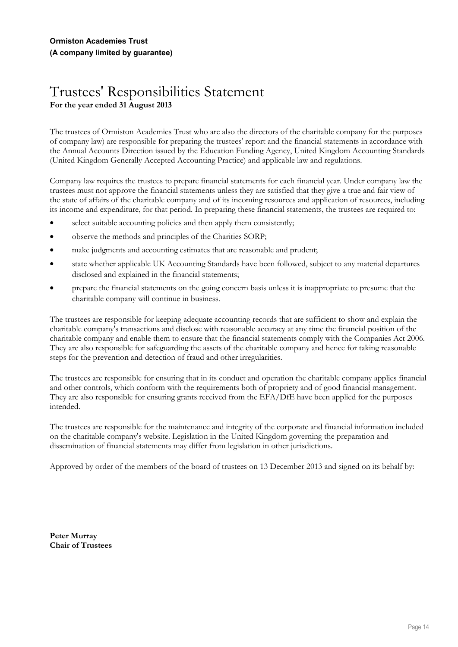## Trustees' Responsibilities Statement **For the year ended 31 August 2013**

The trustees of Ormiston Academies Trust who are also the directors of the charitable company for the purposes of company law) are responsible for preparing the trustees' report and the financial statements in accordance with the Annual Accounts Direction issued by the Education Funding Agency, United Kingdom Accounting Standards (United Kingdom Generally Accepted Accounting Practice) and applicable law and regulations.

Company law requires the trustees to prepare financial statements for each financial year. Under company law the trustees must not approve the financial statements unless they are satisfied that they give a true and fair view of the state of affairs of the charitable company and of its incoming resources and application of resources, including its income and expenditure, for that period. In preparing these financial statements, the trustees are required to:

- select suitable accounting policies and then apply them consistently;
- observe the methods and principles of the Charities SORP;
- make judgments and accounting estimates that are reasonable and prudent;
- state whether applicable UK Accounting Standards have been followed, subject to any material departures disclosed and explained in the financial statements;
- prepare the financial statements on the going concern basis unless it is inappropriate to presume that the charitable company will continue in business.

The trustees are responsible for keeping adequate accounting records that are sufficient to show and explain the charitable company's transactions and disclose with reasonable accuracy at any time the financial position of the charitable company and enable them to ensure that the financial statements comply with the Companies Act 2006. They are also responsible for safeguarding the assets of the charitable company and hence for taking reasonable steps for the prevention and detection of fraud and other irregularities.

The trustees are responsible for ensuring that in its conduct and operation the charitable company applies financial and other controls, which conform with the requirements both of propriety and of good financial management. They are also responsible for ensuring grants received from the EFA/DfE have been applied for the purposes intended.

The trustees are responsible for the maintenance and integrity of the corporate and financial information included on the charitable company's website. Legislation in the United Kingdom governing the preparation and dissemination of financial statements may differ from legislation in other jurisdictions.

Approved by order of the members of the board of trustees on 13 December 2013 and signed on its behalf by:

**Peter Murray Chair of Trustees**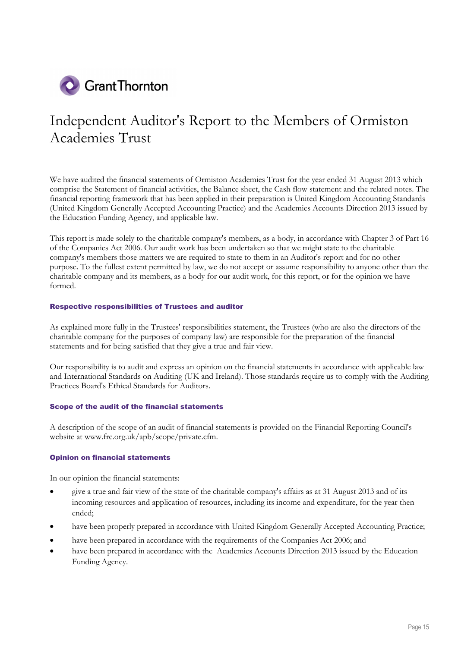

# Independent Auditor's Report to the Members of Ormiston Academies Trust

We have audited the financial statements of Ormiston Academies Trust for the year ended 31 August 2013 which comprise the Statement of financial activities, the Balance sheet, the Cash flow statement and the related notes. The financial reporting framework that has been applied in their preparation is United Kingdom Accounting Standards (United Kingdom Generally Accepted Accounting Practice) and the Academies Accounts Direction 2013 issued by the Education Funding Agency, and applicable law.

This report is made solely to the charitable company's members, as a body, in accordance with Chapter 3 of Part 16 of the Companies Act 2006. Our audit work has been undertaken so that we might state to the charitable company's members those matters we are required to state to them in an Auditor's report and for no other purpose. To the fullest extent permitted by law, we do not accept or assume responsibility to anyone other than the charitable company and its members, as a body for our audit work, for this report, or for the opinion we have formed.

### **Respective responsibilities of Trustees and auditor**

As explained more fully in the Trustees' responsibilities statement, the Trustees (who are also the directors of the charitable company for the purposes of company law) are responsible for the preparation of the financial statements and for being satisfied that they give a true and fair view.

Our responsibility is to audit and express an opinion on the financial statements in accordance with applicable law and International Standards on Auditing (UK and Ireland). Those standards require us to comply with the Auditing Practices Board's Ethical Standards for Auditors.

### **Scope of the audit of the financial statements**

A description of the scope of an audit of financial statements is provided on the Financial Reporting Council's website at www.frc.org.uk/apb/scope/private.cfm.

### **Opinion on financial statements**

In our opinion the financial statements:

- give a true and fair view of the state of the charitable company's affairs as at 31 August 2013 and of its incoming resources and application of resources, including its income and expenditure, for the year then ended;
- have been properly prepared in accordance with United Kingdom Generally Accepted Accounting Practice;
- have been prepared in accordance with the requirements of the Companies Act 2006; and
- have been prepared in accordance with the Academies Accounts Direction 2013 issued by the Education Funding Agency.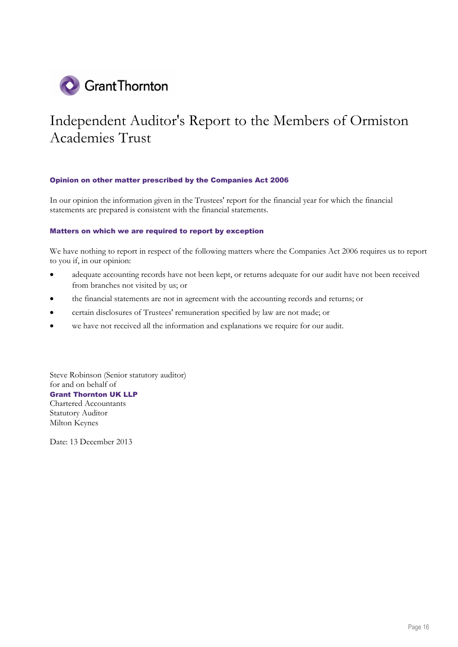

# Independent Auditor's Report to the Members of Ormiston Academies Trust

### **Opinion on other matter prescribed by the Companies Act 2006**

In our opinion the information given in the Trustees' report for the financial year for which the financial statements are prepared is consistent with the financial statements.

### **Matters on which we are required to report by exception**

We have nothing to report in respect of the following matters where the Companies Act 2006 requires us to report to you if, in our opinion:

- adequate accounting records have not been kept, or returns adequate for our audit have not been received from branches not visited by us; or
- the financial statements are not in agreement with the accounting records and returns; or
- certain disclosures of Trustees' remuneration specified by law are not made; or I
- we have not received all the information and explanations we require for our audit.

Steve Robinson (Senior statutory auditor) for and on behalf of **Grant Thornton UK LLP** Chartered Accountants Statutory Auditor Milton Keynes

Date: 13 December 2013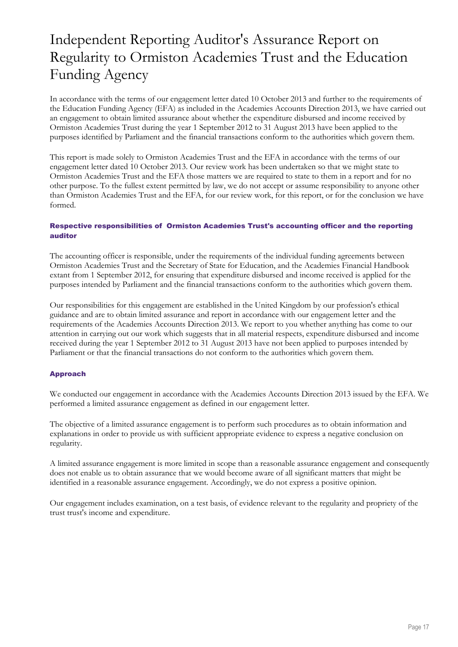# Independent Reporting Auditor's Assurance Report on Regularity to Ormiston Academies Trust and the Education Funding Agency

In accordance with the terms of our engagement letter dated 10 October 2013 and further to the requirements of the Education Funding Agency (EFA) as included in the Academies Accounts Direction 2013, we have carried out an engagement to obtain limited assurance about whether the expenditure disbursed and income received by Ormiston Academies Trust during the year 1 September 2012 to 31 August 2013 have been applied to the purposes identified by Parliament and the financial transactions conform to the authorities which govern them.

This report is made solely to Ormiston Academies Trust and the EFA in accordance with the terms of our engagement letter dated 10 October 2013. Our review work has been undertaken so that we might state to Ormiston Academies Trust and the EFA those matters we are required to state to them in a report and for no other purpose. To the fullest extent permitted by law, we do not accept or assume responsibility to anyone other than Ormiston Academies Trust and the EFA, for our review work, for this report, or for the conclusion we have formed.

### **Respective responsibilities of Ormiston Academies Trust's accounting officer and the reporting auditor**

The accounting officer is responsible, under the requirements of the individual funding agreements between Ormiston Academies Trust and the Secretary of State for Education, and the Academies Financial Handbook extant from 1 September 2012, for ensuring that expenditure disbursed and income received is applied for the purposes intended by Parliament and the financial transactions conform to the authorities which govern them.

Our responsibilities for this engagement are established in the United Kingdom by our profession's ethical guidance and are to obtain limited assurance and report in accordance with our engagement letter and the requirements of the Academies Accounts Direction 2013. We report to you whether anything has come to our attention in carrying out our work which suggests that in all material respects, expenditure disbursed and income received during the year 1 September 2012 to 31 August 2013 have not been applied to purposes intended by Parliament or that the financial transactions do not conform to the authorities which govern them.

### **Approach**

We conducted our engagement in accordance with the Academies Accounts Direction 2013 issued by the EFA. We performed a limited assurance engagement as defined in our engagement letter.

The objective of a limited assurance engagement is to perform such procedures as to obtain information and explanations in order to provide us with sufficient appropriate evidence to express a negative conclusion on regularity.

A limited assurance engagement is more limited in scope than a reasonable assurance engagement and consequently does not enable us to obtain assurance that we would become aware of all significant matters that might be identified in a reasonable assurance engagement. Accordingly, we do not express a positive opinion.

Our engagement includes examination, on a test basis, of evidence relevant to the regularity and propriety of the trust trust's income and expenditure.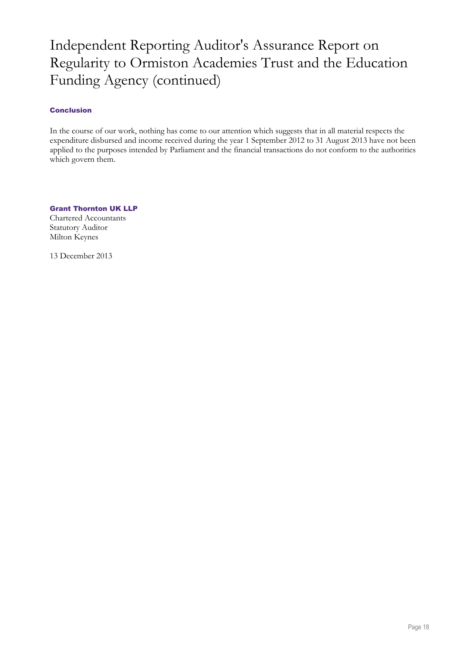# Independent Reporting Auditor's Assurance Report on Regularity to Ormiston Academies Trust and the Education Funding Agency (continued)

### **Conclusion**

In the course of our work, nothing has come to our attention which suggests that in all material respects the expenditure disbursed and income received during the year 1 September 2012 to 31 August 2013 have not been applied to the purposes intended by Parliament and the financial transactions do not conform to the authorities which govern them.

**Grant Thornton UK LLP** Chartered Accountants Statutory Auditor Milton Keynes

13 December 2013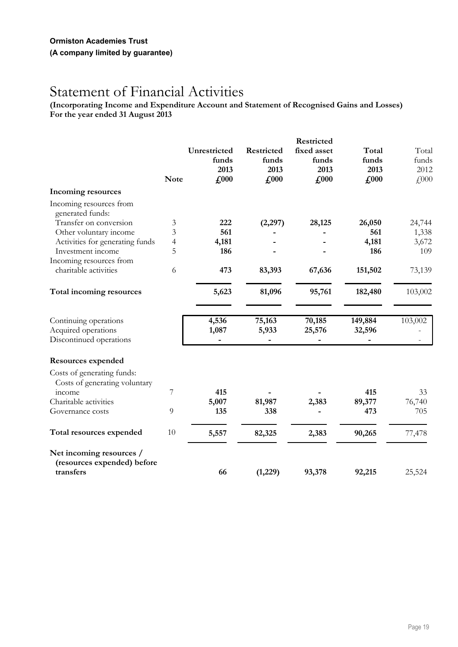# Statement of Financial Activities

**(Incorporating Income and Expenditure Account and Statement of Recognised Gains and Losses) For the year ended 31 August 2013**

|                                                             |                |                                        |                                              | Restricted                                       |                                     |                                |
|-------------------------------------------------------------|----------------|----------------------------------------|----------------------------------------------|--------------------------------------------------|-------------------------------------|--------------------------------|
|                                                             | <b>Note</b>    | Unrestricted<br>funds<br>2013<br>£,000 | Restricted<br>funds<br>2013<br>$\pounds 000$ | fixed asset<br>funds<br>2013<br>f <sub>000</sub> | Total<br>funds<br>2013<br>$f_{000}$ | Total<br>funds<br>2012<br>£000 |
| <b>Incoming resources</b>                                   |                |                                        |                                              |                                                  |                                     |                                |
| Incoming resources from                                     |                |                                        |                                              |                                                  |                                     |                                |
| generated funds:<br>Transfer on conversion                  | 3              | 222                                    | (2, 297)                                     | 28,125                                           | 26,050                              | 24,744                         |
| Other voluntary income                                      | 3              | 561                                    |                                              |                                                  | 561                                 | 1,338                          |
| Activities for generating funds                             | $\overline{4}$ | 4,181                                  |                                              |                                                  | 4,181                               | 3,672                          |
| Investment income                                           | 5              | 186                                    |                                              |                                                  | 186                                 | 109                            |
| Incoming resources from                                     |                |                                        |                                              |                                                  |                                     |                                |
| charitable activities                                       | 6              | 473                                    | 83,393                                       | 67,636                                           | 151,502                             | 73,139                         |
| Total incoming resources                                    |                | 5,623                                  | 81,096                                       | 95,761                                           | 182,480                             | 103,002                        |
| Continuing operations<br>Acquired operations                |                | 4,536<br>1,087                         | 75,163<br>5,933                              | 70,185<br>25,576                                 | 149,884<br>32,596                   | 103,002                        |
| Discontinued operations                                     |                |                                        |                                              |                                                  |                                     |                                |
| Resources expended                                          |                |                                        |                                              |                                                  |                                     |                                |
| Costs of generating funds:<br>Costs of generating voluntary |                |                                        |                                              |                                                  |                                     |                                |
| income                                                      | 7              | 415                                    |                                              |                                                  | 415                                 | 33                             |
| Charitable activities                                       |                | 5,007                                  | 81,987                                       | 2,383                                            | 89,377                              | 76,740                         |
| Governance costs                                            | 9              | 135                                    | 338                                          |                                                  | 473                                 | 705                            |
| Total resources expended                                    | 10             | 5,557                                  | 82,325                                       | 2,383                                            | 90,265                              | 77,478                         |
| Net incoming resources /<br>(resources expended) before     |                |                                        |                                              |                                                  |                                     |                                |
| transfers                                                   |                | 66                                     | (1,229)                                      | 93,378                                           | 92,215                              | 25,524                         |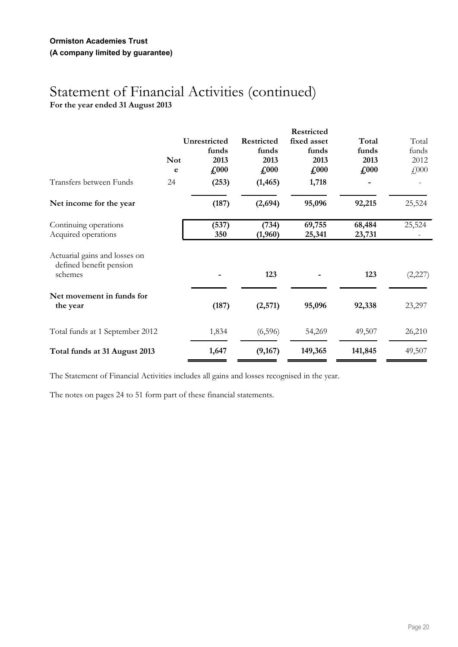## Statement of Financial Activities (continued) **For the year ended 31 August 2013**

| Transfers between Funds                                             | <b>Not</b><br>e<br>24 | Unrestricted<br>funds<br>2013<br>$\pounds 000$<br>(253) | Restricted<br>funds<br>2013<br>$\pounds 000$<br>(1, 465) | Restricted<br>fixed asset<br>funds<br>2013<br>$\pounds 000$<br>1,718 | Total<br>funds<br>2013<br>$\pounds 000$ | Total<br>funds<br>2012<br>$\text{\textsterling}000$ |
|---------------------------------------------------------------------|-----------------------|---------------------------------------------------------|----------------------------------------------------------|----------------------------------------------------------------------|-----------------------------------------|-----------------------------------------------------|
| Net income for the year                                             |                       | (187)                                                   | (2,694)                                                  | 95,096                                                               | 92,215                                  | 25,524                                              |
| Continuing operations<br>Acquired operations                        |                       | (537)<br>350                                            | (734)<br>(1,960)                                         | 69,755<br>25,341                                                     | 68,484<br>23,731                        | 25,524                                              |
| Actuarial gains and losses on<br>defined benefit pension<br>schemes |                       |                                                         | 123                                                      |                                                                      | 123                                     | (2,227)                                             |
| Net movement in funds for<br>the year                               |                       | (187)                                                   | (2,571)                                                  | 95,096                                                               | 92,338                                  | 23,297                                              |
| Total funds at 1 September 2012                                     |                       | 1,834                                                   | (6,596)                                                  | 54,269                                                               | 49,507                                  | 26,210                                              |
| Total funds at 31 August 2013                                       |                       | 1,647                                                   | (9,167)                                                  | 149,365                                                              | 141,845                                 | 49,507                                              |

The Statement of Financial Activities includes all gains and losses recognised in the year.

The notes on pages 24 to 51 form part of these financial statements.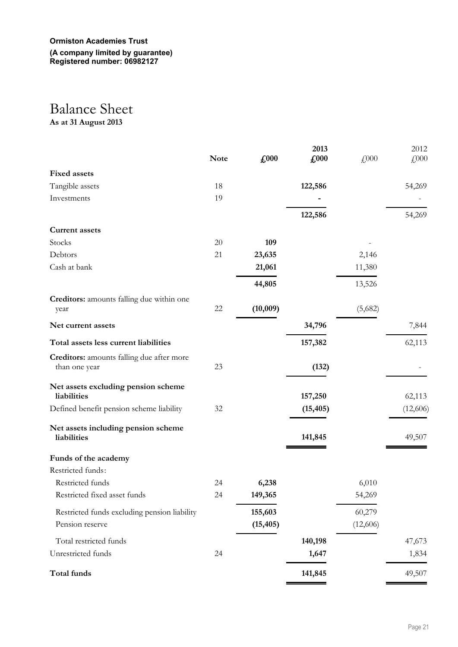#### **Ormiston Academies Trust** ľ **(A company limited by guarantee) Registered number: 06982127**

# Balance Sheet

**As at 31 August 2013**

|                                                  |             |               | 2013      |          | 2012     |
|--------------------------------------------------|-------------|---------------|-----------|----------|----------|
|                                                  | <b>Note</b> | $\pounds 000$ | £000      | £000     | £000     |
| <b>Fixed assets</b>                              |             |               |           |          |          |
| Tangible assets                                  | 18          |               | 122,586   |          | 54,269   |
| Investments                                      | 19          |               |           |          |          |
|                                                  |             |               | 122,586   |          | 54,269   |
| <b>Current assets</b>                            |             |               |           |          |          |
| Stocks                                           | 20          | 109           |           |          |          |
| Debtors                                          | 21          | 23,635        |           | 2,146    |          |
| Cash at bank                                     |             | 21,061        |           | 11,380   |          |
|                                                  |             | 44,805        |           | 13,526   |          |
| <b>Creditors:</b> amounts falling due within one |             |               |           |          |          |
| year                                             | 22          | (10,009)      |           | (5,682)  |          |
| Net current assets                               |             |               | 34,796    |          | 7,844    |
| Total assets less current liabilities            |             |               | 157,382   |          | 62,113   |
| Creditors: amounts falling due after more        |             |               |           |          |          |
| than one year                                    | 23          |               | (132)     |          |          |
| Net assets excluding pension scheme              |             |               |           |          |          |
| liabilities                                      |             |               | 157,250   |          | 62,113   |
| Defined benefit pension scheme liability         | 32          |               | (15, 405) |          | (12,606) |
| Net assets including pension scheme              |             |               |           |          |          |
| liabilities                                      |             |               | 141,845   |          | 49,507   |
| Funds of the academy                             |             |               |           |          |          |
| Restricted funds:                                |             |               |           |          |          |
| Restricted funds                                 | 24          | 6,238         |           | 6,010    |          |
| Restricted fixed asset funds                     | 24          | 149,365       |           | 54,269   |          |
| Restricted funds excluding pension liability     |             | 155,603       |           | 60,279   |          |
| Pension reserve                                  |             | (15, 405)     |           | (12,606) |          |
| Total restricted funds                           |             |               | 140,198   |          | 47,673   |
| Unrestricted funds                               | 24          |               | 1,647     |          | 1,834    |
| Total funds                                      |             |               | 141,845   |          | 49,507   |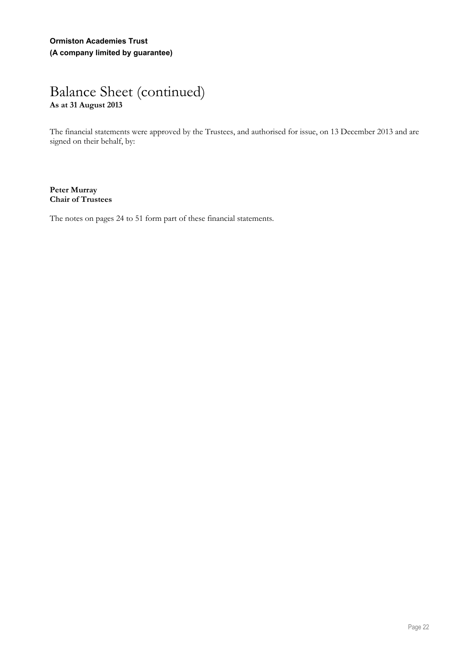## Balance Sheet (continued) **As at 31 August 2013**

The financial statements were approved by the Trustees, and authorised for issue, on 13 December 2013 and are signed on their behalf, by:

### **Peter Murray Chair of Trustees**

The notes on pages 24 to 51 form part of these financial statements.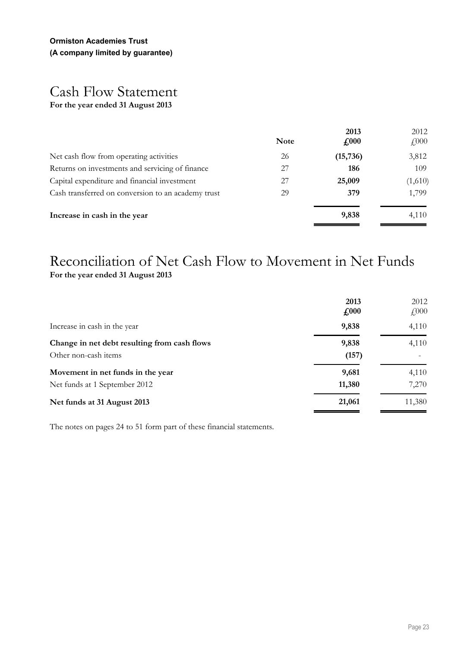## Cash Flow Statement **For the year ended 31 August 2013**

|                                                    | <b>Note</b> | 2013<br>$\pounds 000$ | 2012<br>$\angle 000$ |
|----------------------------------------------------|-------------|-----------------------|----------------------|
| Net cash flow from operating activities            | 26          | (15,736)              | 3,812                |
| Returns on investments and servicing of finance    | 27          | 186                   | 109                  |
| Capital expenditure and financial investment       | 27          | 25,009                | (1,610)              |
| Cash transferred on conversion to an academy trust | 29          | 379                   | 1,799                |
| Increase in cash in the year                       |             | 9,838                 | 4,110                |

## Reconciliation of Net Cash Flow to Movement in Net Funds **For the year ended 31 August 2013**

|                                                                      | 2013<br>$\textbf{\textsterling}000$ | 2012<br>$\angle 000$ |
|----------------------------------------------------------------------|-------------------------------------|----------------------|
| Increase in cash in the year                                         | 9,838                               | 4,110                |
| Change in net debt resulting from cash flows<br>Other non-cash items | 9,838<br>(157)                      | 4,110                |
| Movement in net funds in the year<br>Net funds at 1 September 2012   | 9,681<br>11,380                     | 4,110<br>7,270       |
| Net funds at 31 August 2013                                          | 21,061                              | 11,380               |

The notes on pages 24 to 51 form part of these financial statements.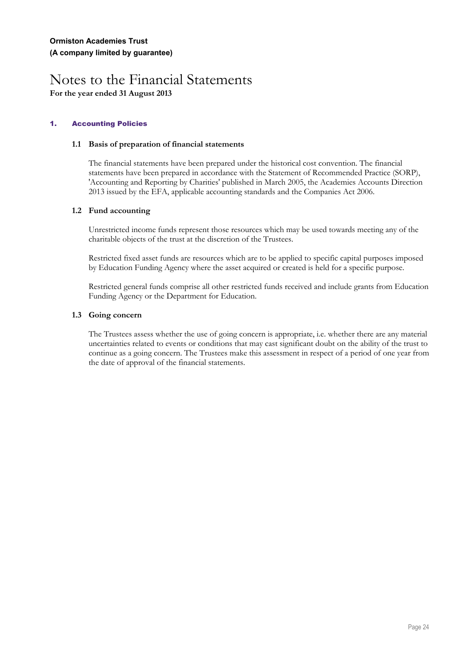**For the year ended 31 August 2013**

### **1. Accounting Policies**

### **1.1 Basis of preparation of financial statements**

The financial statements have been prepared under the historical cost convention. The financial statements have been prepared in accordance with the Statement of Recommended Practice (SORP), 'Accounting and Reporting by Charities' published in March 2005, the Academies Accounts Direction 2013 issued by the EFA, applicable accounting standards and the Companies Act 2006.

### **1.2 Fund accounting**

Unrestricted income funds represent those resources which may be used towards meeting any of the charitable objects of the trust at the discretion of the Trustees.

Restricted fixed asset funds are resources which are to be applied to specific capital purposes imposed by Education Funding Agency where the asset acquired or created is held for a specific purpose.

Restricted general funds comprise all other restricted funds received and include grants from Education Funding Agency or the Department for Education.

### **1.3 Going concern**

The Trustees assess whether the use of going concern is appropriate, i.e. whether there are any material uncertainties related to events or conditions that may cast significant doubt on the ability of the trust to continue as a going concern. The Trustees make this assessment in respect of a period of one year from the date of approval of the financial statements.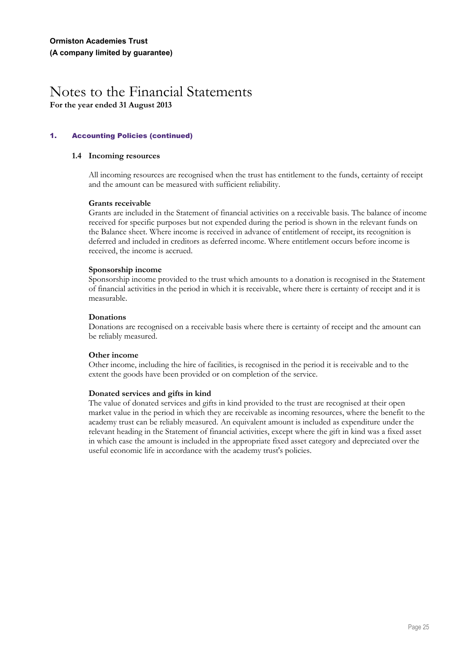### **1. Accounting Policies (continued)**

### **1.4 Incoming resources**

All incoming resources are recognised when the trust has entitlement to the funds, certainty of receipt and the amount can be measured with sufficient reliability.

### **Grants receivable**

Grants are included in the Statement of financial activities on a receivable basis. The balance of income received for specific purposes but not expended during the period is shown in the relevant funds on the Balance sheet. Where income is received in advance of entitlement of receipt, its recognition is deferred and included in creditors as deferred income. Where entitlement occurs before income is received, the income is accrued.

### **Sponsorship income**

Sponsorship income provided to the trust which amounts to a donation is recognised in the Statement of financial activities in the period in which it is receivable, where there is certainty of receipt and it is measurable.

### **Donations**

Donations are recognised on a receivable basis where there is certainty of receipt and the amount can be reliably measured.

### **Other income**

Other income, including the hire of facilities, is recognised in the period it is receivable and to the extent the goods have been provided or on completion of the service.

### **Donated services and gifts in kind**

The value of donated services and gifts in kind provided to the trust are recognised at their open market value in the period in which they are receivable as incoming resources, where the benefit to the academy trust can be reliably measured. An equivalent amount is included as expenditure under the relevant heading in the Statement of financial activities, except where the gift in kind was a fixed asset in which case the amount is included in the appropriate fixed asset category and depreciated over the useful economic life in accordance with the academy trust's policies.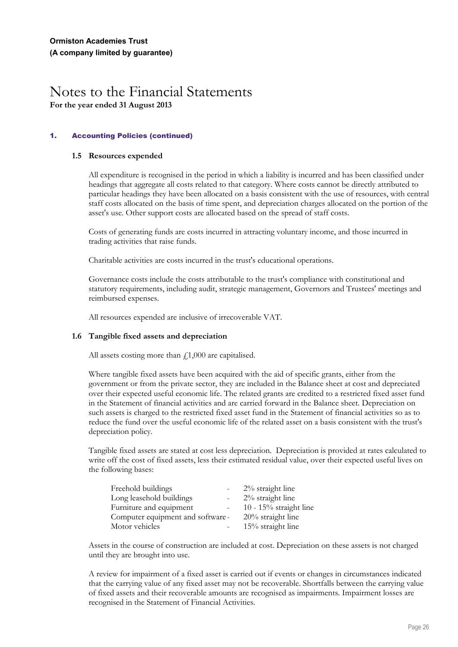### **1. Accounting Policies (continued)**

### **1.5 Resources expended**

All expenditure is recognised in the period in which a liability is incurred and has been classified under headings that aggregate all costs related to that category. Where costs cannot be directly attributed to particular headings they have been allocated on a basis consistent with the use of resources, with central staff costs allocated on the basis of time spent, and depreciation charges allocated on the portion of the asset's use. Other support costs are allocated based on the spread of staff costs.

Costs of generating funds are costs incurred in attracting voluntary income, and those incurred in trading activities that raise funds.

Charitable activities are costs incurred in the trust's educational operations.

Governance costs include the costs attributable to the trust's compliance with constitutional and statutory requirements, including audit, strategic management, Governors and Trustees' meetings and reimbursed expenses.

All resources expended are inclusive of irrecoverable VAT.

### **1.6 Tangible fixed assets and depreciation**

All assets costing more than  $f$ , 1,000 are capitalised.

Where tangible fixed assets have been acquired with the aid of specific grants, either from the government or from the private sector, they are included in the Balance sheet at cost and depreciated over their expected useful economic life. The related grants are credited to a restricted fixed asset fund in the Statement of financial activities and are carried forward in the Balance sheet. Depreciation on such assets is charged to the restricted fixed asset fund in the Statement of financial activities so as to reduce the fund over the useful economic life of the related asset on a basis consistent with the trust's depreciation policy.

Tangible fixed assets are stated at cost less depreciation. Depreciation is provided at rates calculated to write off the cost of fixed assets, less their estimated residual value, over their expected useful lives on the following bases:

| Freehold buildings               | $2\%$ straight line       |
|----------------------------------|---------------------------|
| Long leasehold buildings         | 2% straight line          |
| Furniture and equipment          | 10 - $15\%$ straight line |
| Computer equipment and software- | $20\%$ straight line      |
| Motor vehicles                   | 15% straight line         |

Assets in the course of construction are included at cost. Depreciation on these assets is not charged until they are brought into use.

A review for impairment of a fixed asset is carried out if events or changes in circumstances indicated that the carrying value of any fixed asset may not be recoverable. Shortfalls between the carrying value of fixed assets and their recoverable amounts are recognised as impairments. Impairment losses are recognised in the Statement of Financial Activities.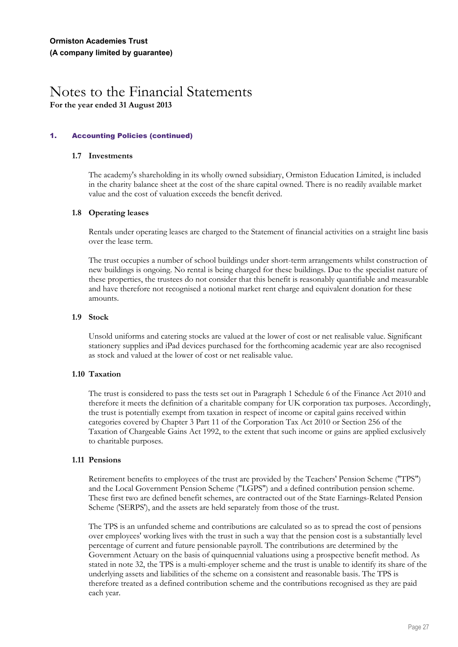### **1. Accounting Policies (continued)**

### **1.7 Investments**

The academy's shareholding in its wholly owned subsidiary, Ormiston Education Limited, is included in the charity balance sheet at the cost of the share capital owned. There is no readily available market value and the cost of valuation exceeds the benefit derived.

### **1.8 Operating leases**

Rentals under operating leases are charged to the Statement of financial activities on a straight line basis over the lease term.

The trust occupies a number of school buildings under short-term arrangements whilst construction of new buildings is ongoing. No rental is being charged for these buildings. Due to the specialist nature of these properties, the trustees do not consider that this benefit is reasonably quantifiable and measurable and have therefore not recognised a notional market rent charge and equivalent donation for these amounts.

### **1.9 Stock**

Unsold uniforms and catering stocks are valued at the lower of cost or net realisable value. Significant stationery supplies and iPad devices purchased for the forthcoming academic year are also recognised as stock and valued at the lower of cost or net realisable value.

### **1.10 Taxation**

The trust is considered to pass the tests set out in Paragraph 1 Schedule 6 of the Finance Act 2010 and therefore it meets the definition of a charitable company for UK corporation tax purposes. Accordingly, the trust is potentially exempt from taxation in respect of income or capital gains received within categories covered by Chapter 3 Part 11 of the Corporation Tax Act 2010 or Section 256 of the Taxation of Chargeable Gains Act 1992, to the extent that such income or gains are applied exclusively to charitable purposes.

### **1.11 Pensions**

Retirement benefits to employees of the trust are provided by the Teachers' Pension Scheme ("TPS") and the Local Government Pension Scheme ("LGPS") and a defined contribution pension scheme. These first two are defined benefit schemes, are contracted out of the State Earnings-Related Pension Scheme ('SERPS'), and the assets are held separately from those of the trust.

The TPS is an unfunded scheme and contributions are calculated so as to spread the cost of pensions over employees' working lives with the trust in such a way that the pension cost is a substantially level percentage of current and future pensionable payroll. The contributions are determined by the Government Actuary on the basis of quinquennial valuations using a prospective benefit method. As stated in note 32, the TPS is a multi-employer scheme and the trust is unable to identify its share of the underlying assets and liabilities of the scheme on a consistent and reasonable basis. The TPS is therefore treated as a defined contribution scheme and the contributions recognised as they are paid each year.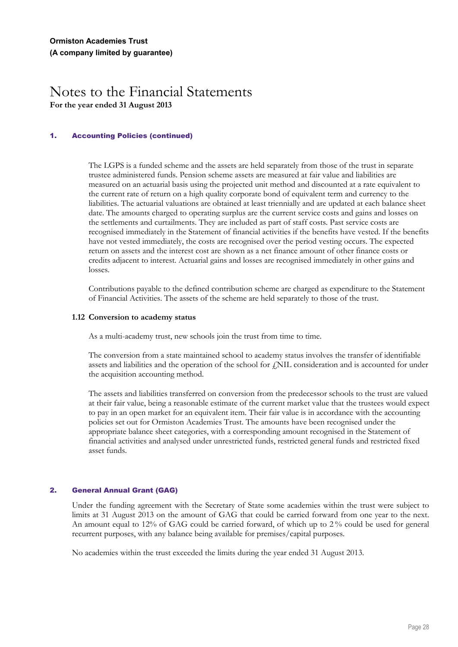### **1. Accounting Policies (continued)**

The LGPS is a funded scheme and the assets are held separately from those of the trust in separate trustee administered funds. Pension scheme assets are measured at fair value and liabilities are measured on an actuarial basis using the projected unit method and discounted at a rate equivalent to the current rate of return on a high quality corporate bond of equivalent term and currency to the liabilities. The actuarial valuations are obtained at least triennially and are updated at each balance sheet date. The amounts charged to operating surplus are the current service costs and gains and losses on the settlements and curtailments. They are included as part of staff costs. Past service costs are recognised immediately in the Statement of financial activities if the benefits have vested. If the benefits have not vested immediately, the costs are recognised over the period vesting occurs. The expected return on assets and the interest cost are shown as a net finance amount of other finance costs or credits adjacent to interest. Actuarial gains and losses are recognised immediately in other gains and losses.

Contributions payable to the defined contribution scheme are charged as expenditure to the Statement of Financial Activities. The assets of the scheme are held separately to those of the trust.

### **1.12 Conversion to academy status**

As a multi-academy trust, new schools join the trust from time to time.

The conversion from a state maintained school to academy status involves the transfer of identifiable assets and liabilities and the operation of the school for  $f_{\rm L}$ NIL consideration and is accounted for under the acquisition accounting method.

The assets and liabilities transferred on conversion from the predecessor schools to the trust are valued at their fair value, being a reasonable estimate of the current market value that the trustees would expect to pay in an open market for an equivalent item. Their fair value is in accordance with the accounting policies set out for Ormiston Academies Trust. The amounts have been recognised under the appropriate balance sheet categories, with a corresponding amount recognised in the Statement of financial activities and analysed under unrestricted funds, restricted general funds and restricted fixed asset funds.

### **2. General Annual Grant (GAG)**

Under the funding agreement with the Secretary of State some academies within the trust were subject to limits at 31 August 2013 on the amount of GAG that could be carried forward from one year to the next. An amount equal to 12% of GAG could be carried forward, of which up to 2 % could be used for general recurrent purposes, with any balance being available for premises/capital purposes.

No academies within the trust exceeded the limits during the year ended 31 August 2013.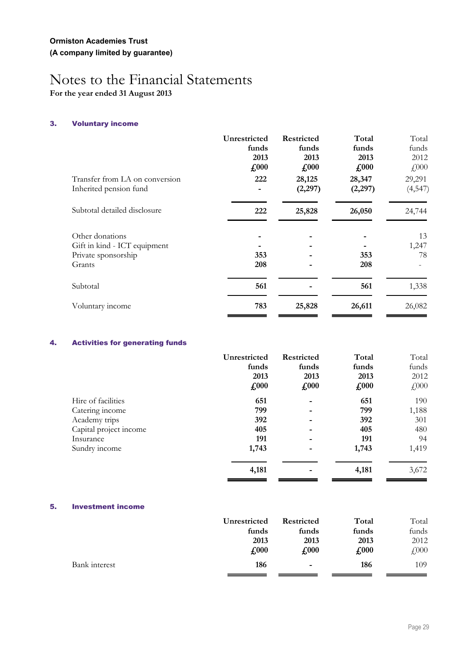**For the year ended 31 August 2013**

### **3. Voluntary income**

|                                                                                  | Unrestricted<br>funds<br>2013<br>$\textbf{\textsterling}000$ | Restricted<br>funds<br>2013<br>$\textbf{\textsterling}000$ | Total<br>funds<br>2013<br>$\textbf{\textsterling}000$ | Total<br>funds<br>2012<br>£000 |
|----------------------------------------------------------------------------------|--------------------------------------------------------------|------------------------------------------------------------|-------------------------------------------------------|--------------------------------|
| Transfer from LA on conversion<br>Inherited pension fund                         | 222                                                          | 28,125<br>(2,297)                                          | 28,347<br>(2,297)                                     | 29,291<br>(4, 547)             |
| Subtotal detailed disclosure                                                     | 222                                                          | 25,828                                                     | 26,050                                                | 24,744                         |
| Other donations<br>Gift in kind - ICT equipment<br>Private sponsorship<br>Grants | 353<br>208                                                   |                                                            | 353<br>208                                            | 13<br>1,247<br>78              |
| Subtotal                                                                         | 561                                                          |                                                            | 561                                                   | 1,338                          |
| Voluntary income                                                                 | 783                                                          | 25,828                                                     | 26,611                                                | 26,082                         |

### **4. Activities for generating funds**

|                        | Unrestricted<br>funds<br>2013<br>$\pounds 000$ | <b>Restricted</b><br>funds<br>2013<br>$\pounds$ 000 | Total<br>funds<br>2013<br>$\pounds$ 000 | Total<br>funds<br>2012<br>$f_{00}$ |
|------------------------|------------------------------------------------|-----------------------------------------------------|-----------------------------------------|------------------------------------|
| Hire of facilities     | 651                                            |                                                     | 651                                     | 190                                |
| Catering income        | 799                                            |                                                     | 799                                     | 1,188                              |
| Academy trips          | 392                                            |                                                     | 392                                     | 301                                |
| Capital project income | 405                                            |                                                     | 405                                     | 480                                |
| Insurance              | 191                                            |                                                     | 191                                     | 94                                 |
| Sundry income          | 1,743                                          | -                                                   | 1,743                                   | 1,419                              |
|                        | 4,181                                          |                                                     | 4,181                                   | 3,672                              |

### **5. Investment income**

|               | Unrestricted  | <b>Restricted</b>           | Total         | Total     |
|---------------|---------------|-----------------------------|---------------|-----------|
|               | funds         | funds                       | funds         | funds     |
|               | 2013          | 2013                        | 2013          | 2012      |
|               | $\pounds$ 000 | $\textbf{\textsterling}000$ | $\pounds$ 000 | $f{,}000$ |
| Bank interest | 186           | $\overline{\phantom{a}}$    | 186           | 109       |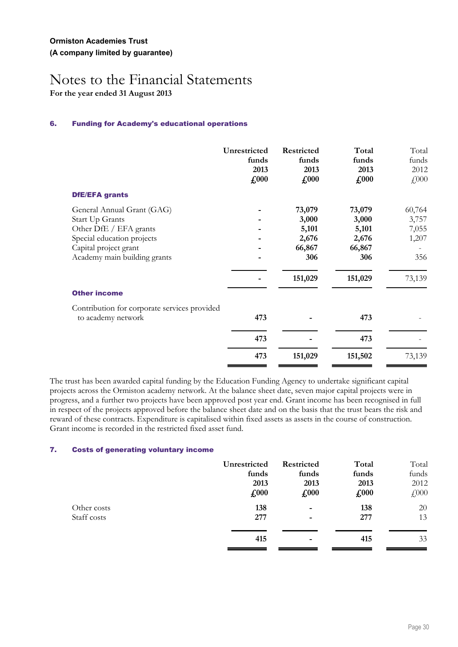**For the year ended 31 August 2013**

### **6. Funding for Academy's educational operations**

|                                                                                                                                                                | Unrestricted<br>funds<br>2013<br>$\sqrt{4.000}$ | Restricted<br>funds<br>2013<br>$\sqrt{4.000}$                 | Total<br>funds<br>2013<br>$\textbf{\textsterling}000$         | Total<br>funds<br>2012<br>£000                     |
|----------------------------------------------------------------------------------------------------------------------------------------------------------------|-------------------------------------------------|---------------------------------------------------------------|---------------------------------------------------------------|----------------------------------------------------|
| <b>DfE/EFA grants</b>                                                                                                                                          |                                                 |                                                               |                                                               |                                                    |
| General Annual Grant (GAG)<br>Start Up Grants<br>Other DfE / EFA grants<br>Special education projects<br>Capital project grant<br>Academy main building grants |                                                 | 73,079<br>3,000<br>5,101<br>2,676<br>66,867<br>306<br>151,029 | 73,079<br>3,000<br>5,101<br>2,676<br>66,867<br>306<br>151,029 | 60,764<br>3,757<br>7,055<br>1,207<br>356<br>73,139 |
| <b>Other income</b>                                                                                                                                            |                                                 |                                                               |                                                               |                                                    |
| Contribution for corporate services provided<br>to academy network                                                                                             | 473                                             |                                                               | 473                                                           |                                                    |
|                                                                                                                                                                | 473                                             |                                                               | 473                                                           |                                                    |
|                                                                                                                                                                | 473                                             | 151,029                                                       | 151,502                                                       | 73,139                                             |

The trust has been awarded capital funding by the Education Funding Agency to undertake significant capital projects across the Ormiston academy network. At the balance sheet date, seven major capital projects were in progress, and a further two projects have been approved post year end. Grant income has been recognised in full in respect of the projects approved before the balance sheet date and on the basis that the trust bears the risk and reward of these contracts. Expenditure is capitalised within fixed assets as assets in the course of construction. Grant income is recorded in the restricted fixed asset fund.

### **7. Costs of generating voluntary income**

|             | Unrestricted  | Restricted               | Total         | Total |
|-------------|---------------|--------------------------|---------------|-------|
|             | funds         | funds                    | funds         | funds |
|             | 2013          | 2013                     | 2013          | 2012  |
|             | $\pounds$ 000 | £000                     | $\pounds$ 000 | £000  |
| Other costs | 138           | $\qquad \qquad$          | 138           | 20    |
| Staff costs | 277           | $\overline{\phantom{a}}$ | 277           | 13    |
|             | 415           | -                        | 415           | 33    |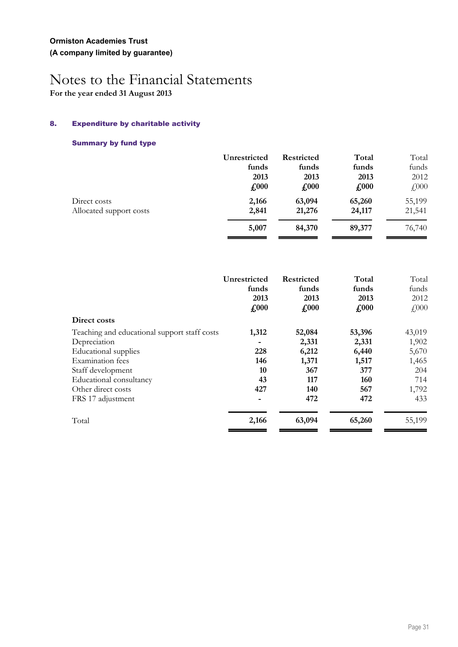**For the year ended 31 August 2013**

### **8. Expenditure by charitable activity**

### **Summary by fund type**

|                         | Unrestricted  | <b>Restricted</b>           | Total                       | Total        |
|-------------------------|---------------|-----------------------------|-----------------------------|--------------|
|                         | funds         | funds                       | funds                       | funds        |
|                         | 2013          | 2013                        | 2013                        | 2012         |
|                         | $\pounds 000$ | $\textbf{\textsterling}000$ | $\textbf{\textsterling}000$ | $\angle 000$ |
| Direct costs            | 2,166         | 63,094                      | 65,260                      | 55,199       |
| Allocated support costs | 2,841         | 21,276                      | 24,117                      | 21,541       |
|                         | 5,007         | 84,370                      | 89,377                      | 76,740       |

|                                              | Unrestricted<br>funds<br>2013<br>$\textcolor{red}{f_{000}}$ | <b>Restricted</b><br>funds<br>2013<br>$\textbf{\textsterling}000$ | Total<br>funds<br>2013<br>$\textbf{\textsterling}000$ | Total<br>funds<br>2012<br>$f$ <sub>000</sub> |
|----------------------------------------------|-------------------------------------------------------------|-------------------------------------------------------------------|-------------------------------------------------------|----------------------------------------------|
| Direct costs                                 |                                                             |                                                                   |                                                       |                                              |
| Teaching and educational support staff costs | 1,312                                                       | 52,084                                                            | 53,396                                                | 43,019                                       |
| Depreciation                                 |                                                             | 2,331                                                             | 2,331                                                 | 1,902                                        |
| Educational supplies                         | 228                                                         | 6,212                                                             | 6,440                                                 | 5,670                                        |
| Examination fees                             | 146                                                         | 1,371                                                             | 1,517                                                 | 1,465                                        |
| Staff development                            | 10                                                          | 367                                                               | 377                                                   | 204                                          |
| Educational consultancy                      | 43                                                          | 117                                                               | 160                                                   | 714                                          |
| Other direct costs                           | 427                                                         | 140                                                               | 567                                                   | 1,792                                        |
| FRS 17 adjustment                            |                                                             | 472                                                               | 472                                                   | 433                                          |
| Total                                        | 2,166                                                       | 63,094                                                            | 65,260                                                | 55,199                                       |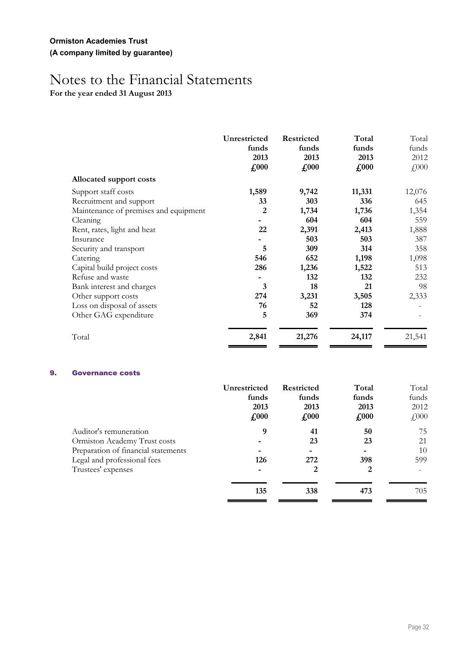**For the year ended 31 August 2013**

|                                       | Unrestricted<br>funds<br>2013<br>$\pounds 000$ | Restricted<br>funds<br>2013<br>$\sqrt{4.000}$ | Total<br>funds<br>2013<br>$\textcolor{red}{f_{000}}$ | Total<br>funds<br>2012<br>£000 |
|---------------------------------------|------------------------------------------------|-----------------------------------------------|------------------------------------------------------|--------------------------------|
| <b>Allocated support costs</b>        |                                                |                                               |                                                      |                                |
| Support staff costs                   | 1,589                                          | 9,742                                         | 11,331                                               | 12,076                         |
| Recruitment and support               | 33                                             | 303                                           | 336                                                  | 645                            |
| Maintenance of premises and equipment | 2                                              | 1,734                                         | 1,736                                                | 1,354                          |
| Cleaning                              |                                                | 604                                           | 604                                                  | 559                            |
| Rent, rates, light and heat           | 22                                             | 2,391                                         | 2,413                                                | 1,888                          |
| Insurance                             |                                                | 503                                           | 503                                                  | 387                            |
| Security and transport                | 5                                              | 309                                           | 314                                                  | 358                            |
| Catering                              | 546                                            | 652                                           | 1,198                                                | 1,098                          |
| Capital build project costs           | 286                                            | 1,236                                         | 1,522                                                | 513                            |
| Refuse and waste                      |                                                | 132                                           | 132                                                  | 232                            |
| Bank interest and charges             | 3                                              | 18                                            | 21                                                   | 98                             |
| Other support costs                   | 274                                            | 3,231                                         | 3,505                                                | 2,333                          |
| Loss on disposal of assets            | 76                                             | 52                                            | 128                                                  |                                |
| Other GAG expenditure                 | 5                                              | 369                                           | 374                                                  |                                |
| Total                                 | 2,841                                          | 21,276                                        | 24,117                                               | 21,541                         |

### **9. Governance costs**

|                                     | Unrestricted                | <b>Restricted</b>           | Total                       | Total        |
|-------------------------------------|-----------------------------|-----------------------------|-----------------------------|--------------|
|                                     | funds                       | funds                       | funds                       | funds        |
|                                     | 2013                        | 2013                        | 2013                        | 2012         |
|                                     | $\textbf{\textsterling}000$ | $\textbf{\textsterling}000$ | $\textbf{\textsterling}000$ | $\angle 000$ |
| Auditor's remuneration              | 9                           | 41                          | 50                          | 75           |
| Ormiston Academy Trust costs        |                             | 23                          | 23                          | 21           |
| Preparation of financial statements |                             |                             |                             | 10           |
| Legal and professional fees         | 126                         | 272                         | 398                         | 599          |
| Trustees' expenses                  | $\overline{\phantom{0}}$    | 2                           | 2                           |              |
|                                     | 135                         | 338                         | 473                         | 705          |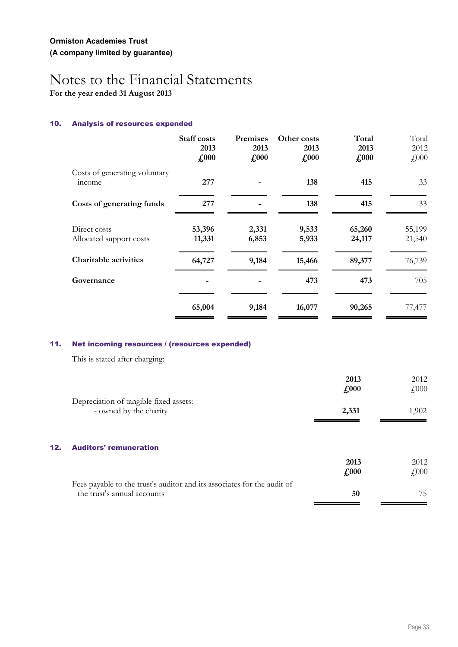**For the year ended 31 August 2013**

### **10. Analysis of resources expended**

|                                         | <b>Staff</b> costs<br>2013<br>$\pounds 000$ | <b>Premises</b><br>2013<br>$\pounds 000$ | Other costs<br>2013<br>$\sqrt{0.00}$ | Total<br>2013<br>$\textbf{\textsterling}000$ | Total<br>2012<br>$f{,}000$ |
|-----------------------------------------|---------------------------------------------|------------------------------------------|--------------------------------------|----------------------------------------------|----------------------------|
| Costs of generating voluntary<br>income | 277                                         |                                          | 138                                  | 415                                          | 33                         |
| Costs of generating funds               | 277                                         |                                          | 138                                  | 415                                          | 33                         |
| Direct costs<br>Allocated support costs | 53,396<br>11,331                            | 2,331<br>6,853                           | 9,533<br>5,933                       | 65,260<br>24,117                             | 55,199<br>21,540           |
| <b>Charitable activities</b>            | 64,727                                      | 9,184                                    | 15,466                               | 89,377                                       | 76,739                     |
| Governance                              |                                             |                                          | 473                                  | 473                                          | 705                        |
|                                         | 65,004                                      | 9,184                                    | 16,077                               | 90,265                                       | 77,477                     |

### **11. Net incoming resources / (resources expended)**

This is stated after charging:

**12.** 

|                                                                                                        | 2013<br>$\pounds 000$       | 2012<br>$\angle 000$ |
|--------------------------------------------------------------------------------------------------------|-----------------------------|----------------------|
| Depreciation of tangible fixed assets:<br>- owned by the charity                                       | 2,331                       | 1,902                |
| <b>Auditors' remuneration</b>                                                                          |                             |                      |
|                                                                                                        | 2013                        | 2012                 |
|                                                                                                        | $\textbf{\textsterling}000$ | $\angle 000$         |
| Fees payable to the trust's auditor and its associates for the audit of<br>the trust's annual accounts | 50                          | 75                   |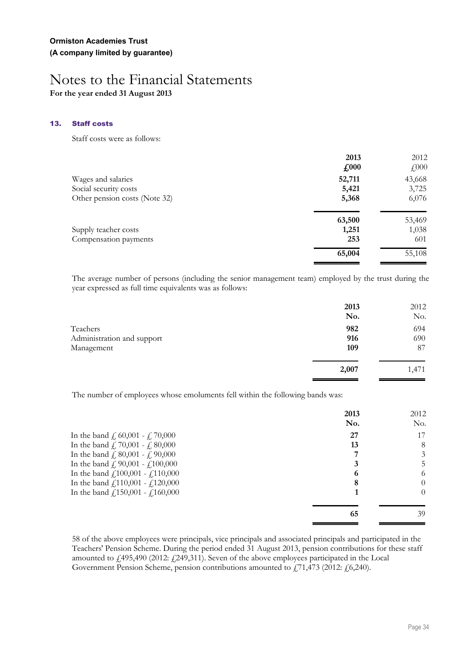### **13. Staff costs**

Staff costs were as follows:

|                               | 2013<br>$\pounds$ 000 | 2012<br>$\angle 000$ |
|-------------------------------|-----------------------|----------------------|
| Wages and salaries            | 52,711                | 43,668               |
| Social security costs         | 5,421                 | 3,725                |
| Other pension costs (Note 32) | 5,368                 | 6,076                |
|                               | 63,500                | 53,469               |
| Supply teacher costs          | 1,251                 | 1,038                |
| Compensation payments         | 253                   | 601                  |
|                               | 65,004                | 55,108               |

The average number of persons (including the senior management team) employed by the trust during the year expressed as full time equivalents was as follows:

|                            | 2013<br>No. | 2012<br>No. |
|----------------------------|-------------|-------------|
| Teachers                   | 982         | 694         |
| Administration and support | 916         | 690         |
| Management                 | 109         | 87          |
|                            | 2,007       | 1,471       |
|                            |             |             |

The number of employees whose emoluments fell within the following bands was:

|                                              | 2013<br>No. | 2012<br>No. |
|----------------------------------------------|-------------|-------------|
| In the band $f($ , 60,001 - $f($ , 70,000    | 27          | 17          |
| In the band $f$ , 70,001 - $f$ , 80,000      | 13          | 8           |
| In the band $f$ , 80,001 - $f$ , 90,000      |             | 3           |
| In the band $f_{1}$ 90,001 - $f_{1}$ 100,000 |             | 5           |
| In the band $f(100,001 - f(110,000))$        | 6           | 6           |
| In the band $f(110,001 - f(120,000))$        | 8           | $\theta$    |
| In the band $f(150,001 - f(160,000$          |             | $\theta$    |
|                                              | 65          | 39          |

58 of the above employees were principals, vice principals and associated principals and participated in the Teachers' Pension Scheme. During the period ended 31 August 2013, pension contributions for these staff amounted to  $\text{\textsterling}495,490$  (2012:  $\text{\textsterling}249,311$ ). Seven of the above employees participated in the Local Government Pension Scheme, pension contributions amounted to  $\frac{1}{2}71,473$  (2012:  $\frac{1}{2}6,240$ ).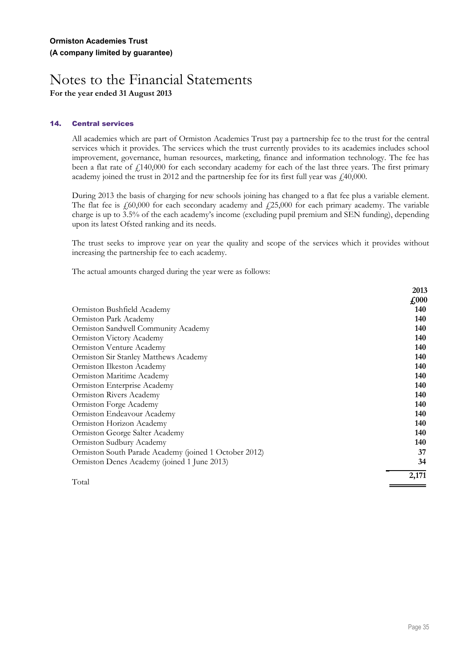### **14. Central services**

All academies which are part of Ormiston Academies Trust pay a partnership fee to the trust for the central services which it provides. The services which the trust currently provides to its academies includes school improvement, governance, human resources, marketing, finance and information technology. The fee has been a flat rate of  $f(140,000)$  for each secondary academy for each of the last three years. The first primary academy joined the trust in 2012 and the partnership fee for its first full year was  $\text{\emph{f}}340,000$ .

During 2013 the basis of charging for new schools joining has changed to a flat fee plus a variable element. The flat fee is  $\frac{1}{60,000}$  for each secondary academy and  $\frac{1}{25,000}$  for each primary academy. The variable charge is up to 3.5% of the each academy's income (excluding pupil premium and SEN funding), depending upon its latest Ofsted ranking and its needs.

The trust seeks to improve year on year the quality and scope of the services which it provides without increasing the partnership fee to each academy.

The actual amounts charged during the year were as follows:

|                                                       | <b>ZUI3</b>   |
|-------------------------------------------------------|---------------|
|                                                       | $\pounds 000$ |
| Ormiston Bushfield Academy                            | 140           |
| Ormiston Park Academy                                 | 140           |
| Ormiston Sandwell Community Academy                   | 140           |
| Ormiston Victory Academy                              | 140           |
| Ormiston Venture Academy                              | 140           |
| Ormiston Sir Stanley Matthews Academy                 | 140           |
| Ormiston Ilkeston Academy                             | 140           |
| Ormiston Maritime Academy                             | 140           |
| Ormiston Enterprise Academy                           | 140           |
| Ormiston Rivers Academy                               | 140           |
| Ormiston Forge Academy                                | 140           |
| Ormiston Endeavour Academy                            | 140           |
| Ormiston Horizon Academy                              | 140           |
| Ormiston George Salter Academy                        | 140           |
| Ormiston Sudbury Academy                              | 140           |
| Ormiston South Parade Academy (joined 1 October 2012) | 37            |
| Ormiston Denes Academy (joined 1 June 2013)           | 34            |
| Total                                                 | 2,171         |
|                                                       |               |

 **2013**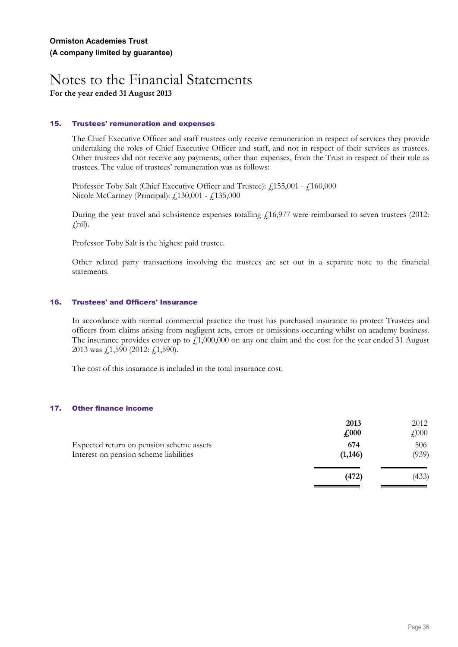### **15. Trustees' remuneration and expenses**

The Chief Executive Officer and staff trustees only receive remuneration in respect of services they provide undertaking the roles of Chief Executive Officer and staff, and not in respect of their services as trustees. Other trustees did not receive any payments, other than expenses, from the Trust in respect of their role as trustees. The value of trustees' remuneration was as follows:

Professor Toby Salt (Chief Executive Officer and Trustee):  $f$  155,001 -  $f$  160,000 Nicole McCartney (Principal): £130,001 - £135,000

During the year travel and subsistence expenses totalling  $\frac{16,977}{16,977}$  were reimbursed to seven trustees (2012:  $\int$ nil).

Professor Toby Salt is the highest paid trustee.

Other related party transactions involving the trustees are set out in a separate note to the financial statements.

### **16. Trustees' and Officers' Insurance**

In accordance with normal commercial practice the trust has purchased insurance to protect Trustees and officers from claims arising from negligent acts, errors or omissions occurring whilst on academy business. The insurance provides cover up to  $f_11,000,000$  on any one claim and the cost for the year ended 31 August 2013 was £1,590 (2012: £1,590).

The cost of this insurance is included in the total insurance cost.

### **17. Other finance income**

|                                          | 2013                       | 2012      |
|------------------------------------------|----------------------------|-----------|
|                                          | $\textcolor{red}{f_{000}}$ | $f{,}000$ |
| Expected return on pension scheme assets | 674                        | 506       |
| Interest on pension scheme liabilities   | (1, 146)                   | (939)     |
|                                          | (472)                      | (433)     |
|                                          |                            |           |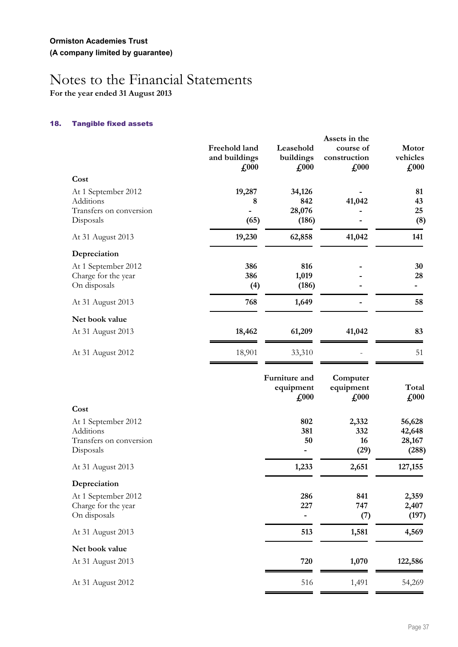**For the year ended 31 August 2013**

### **18. Tangible fixed assets**

|                                                                            |                                                 |                                             | Assets in the                              |                                     |
|----------------------------------------------------------------------------|-------------------------------------------------|---------------------------------------------|--------------------------------------------|-------------------------------------|
|                                                                            | Freehold land<br>and buildings<br>$\pounds$ 000 | Leasehold<br>buildings<br>$\pounds 000$     | course of<br>construction<br>$\pounds$ 000 | Motor<br>vehicles<br>$\pounds$ 000  |
| Cost                                                                       |                                                 |                                             |                                            |                                     |
| At 1 September 2012<br>Additions<br>Transfers on conversion<br>Disposals   | 19,287<br>8<br>(65)                             | 34,126<br>842<br>28,076<br>(186)            | 41,042                                     | 81<br>43<br>25<br>(8)               |
| At 31 August 2013                                                          | 19,230                                          | 62,858                                      | 41,042                                     | 141                                 |
|                                                                            |                                                 |                                             |                                            |                                     |
| Depreciation<br>At 1 September 2012<br>Charge for the year<br>On disposals | 386<br>386<br>(4)                               | 816<br>1,019<br>(186)                       |                                            | 30<br>28                            |
| At 31 August 2013                                                          | 768                                             | 1,649                                       |                                            | 58                                  |
| Net book value                                                             |                                                 |                                             |                                            |                                     |
| At 31 August 2013                                                          | 18,462                                          | 61,209                                      | 41,042                                     | 83                                  |
| At 31 August 2012                                                          | 18,901                                          | 33,310                                      |                                            | 51                                  |
|                                                                            |                                                 | Furniture and<br>equipment<br>$\pounds 000$ | Computer<br>equipment<br>$\pounds$ 000     | Total<br>$\pounds$ 000              |
| Cost                                                                       |                                                 |                                             |                                            |                                     |
| At 1 September 2012<br>Additions<br>Transfers on conversion<br>Disposals   |                                                 | 802<br>381<br>50                            | 2,332<br>332<br>16<br>(29)                 | 56,628<br>42,648<br>28,167<br>(288) |
| At 31 August 2013                                                          |                                                 | 1,233                                       | 2,651                                      | 127,155                             |
| Depreciation                                                               |                                                 |                                             |                                            |                                     |
| At 1 September 2012<br>Charge for the year<br>On disposals                 |                                                 | 286<br>227<br>$\overline{\phantom{a}}$      | 841<br>747<br>(7)                          | 2,359<br>2,407<br>(197)             |
| At 31 August 2013                                                          |                                                 | 513                                         | 1,581                                      | 4,569                               |
| Net book value                                                             |                                                 |                                             |                                            |                                     |
| At 31 August 2013                                                          |                                                 | 720                                         | 1,070                                      | 122,586                             |
| At 31 August 2012                                                          |                                                 | 516                                         | 1,491                                      | 54,269                              |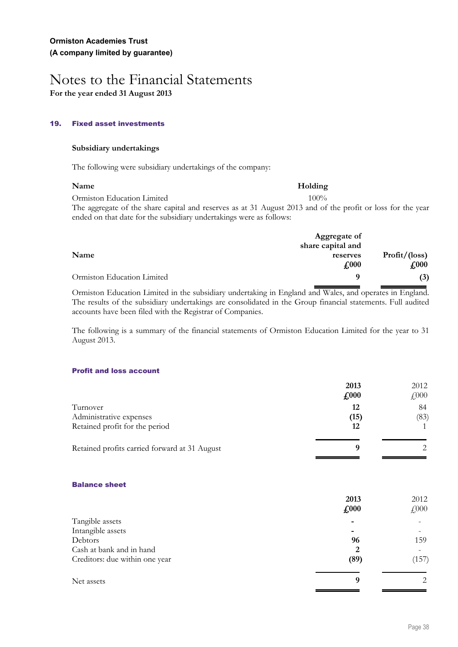### **19. Fixed asset investments**

### **Subsidiary undertakings**

The following were subsidiary undertakings of the company:

#### **Name Holding**

Ormiston Education Limited 100% The aggregate of the share capital and reserves as at 31 August 2013 and of the profit or loss for the year ended on that date for the subsidiary undertakings were as follows:

|                            | Aggregate of<br>share capital and |                         |
|----------------------------|-----------------------------------|-------------------------|
| Name                       | reserves<br>$\pounds 000$         | Profit/ (loss)<br>£,000 |
| Ormiston Education Limited | $\Omega$                          | (3)                     |

Ormiston Education Limited in the subsidiary undertaking in England and Wales, and operates in England. The results of the subsidiary undertakings are consolidated in the Group financial statements. Full audited accounts have been filed with the Registrar of Companies.

The following is a summary of the financial statements of Ormiston Education Limited for the year to 31 August 2013.

### **Profit and loss account**

|                                               | 2013 | 2012         |
|-----------------------------------------------|------|--------------|
|                                               | £000 | $\sqrt{000}$ |
| Turnover                                      | 12   | 84           |
| Administrative expenses                       | (15) | (83)         |
| Retained profit for the period                | 12   |              |
| Retained profits carried forward at 31 August |      |              |

#### **Balance sheet**

|                                | 2013<br>£000 | 2012<br>$\text{\textsterling}000$ |
|--------------------------------|--------------|-----------------------------------|
| Tangible assets                |              |                                   |
| Intangible assets              |              |                                   |
| Debtors                        | 96           | 159                               |
| Cash at bank and in hand       | 2            |                                   |
| Creditors: due within one year | (89)         | (157)                             |
| Net assets                     | 9            | 2                                 |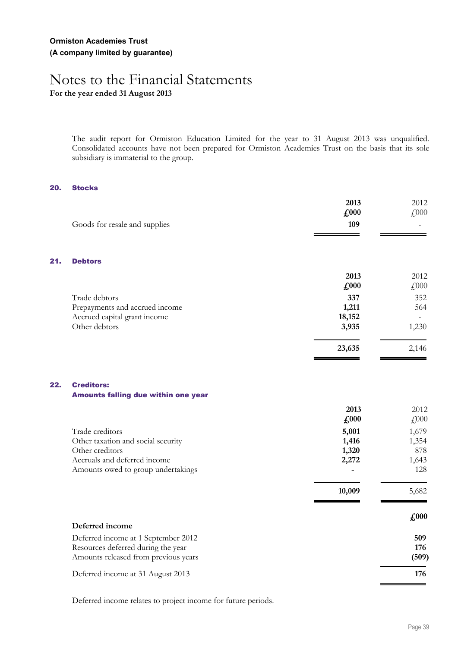**For the year ended 31 August 2013**

The audit report for Ormiston Education Limited for the year to 31 August 2013 was unqualified. Consolidated accounts have not been prepared for Ormiston Academies Trust on the basis that its sole subsidiary is immaterial to the group.

### **20. Stocks**

**21. Debtors**

|                                | 2013                        | 2012 |
|--------------------------------|-----------------------------|------|
|                                | $\textbf{\textsterling}000$ | £000 |
| Goods for resale and supplies  | 109                         |      |
|                                |                             |      |
|                                |                             |      |
| <b>Debtors</b>                 |                             |      |
|                                | 2013                        | 2012 |
|                                | $\pounds$ 000               | £000 |
| Trade debtors                  | 337                         | 352  |
| Prepayments and accrued income | 1,211                       | 564  |
| Accrued capital grant income   | 18,152                      |      |

| Prepayments and accrued income | 1.211  | 564   |
|--------------------------------|--------|-------|
| Accrued capital grant income   | 18,152 |       |
| Other debtors                  | 3,935  | 1,230 |
|                                | 23,635 | 2,146 |

### **22. Creditors:**

**Amounts falling due within one year**

| $\textbf{\textsterling}000$<br>$\angle 000$ |
|---------------------------------------------|
| 5,001<br>1,679                              |
| 1,354<br>1,416                              |
| 1,320<br>878                                |
| 2,272<br>1,643                              |
| 128                                         |
|                                             |
|                                             |

|                                      | 10,009 | 5,682         |
|--------------------------------------|--------|---------------|
| Deferred income                      |        | $\pounds 000$ |
| Deferred income at 1 September 2012  |        | 509           |
| Resources deferred during the year   |        | 176           |
| Amounts released from previous years |        | (509)         |
| Deferred income at 31 August 2013    |        | 176           |

Deferred income relates to project income for future periods.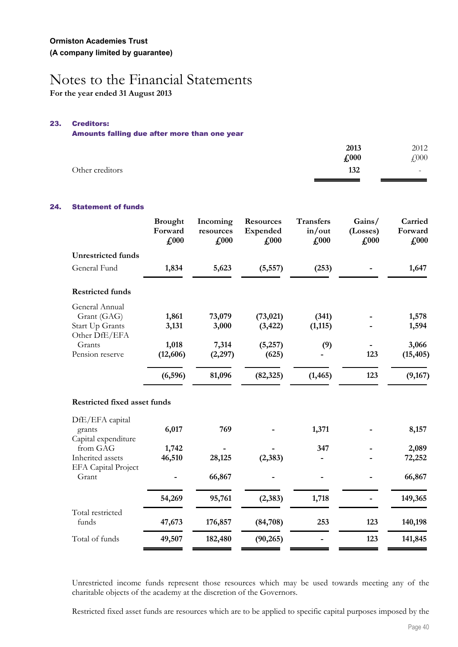**For the year ended 31 August 2013**

### **23. Creditors:**

#### **Amounts falling due after more than one year**

|                 | 2013          | 2012                     |
|-----------------|---------------|--------------------------|
|                 | $\pounds$ 000 | $f{,}000$                |
| Other creditors | 132           | $\overline{\phantom{0}}$ |
|                 |               |                          |

### **24. Statement of funds**

|                              | <b>Brought</b><br>Forward<br>$\textcolor{red}{f_{\textcolor{blue}{t}}}\,000$ | Incoming<br>resources<br>$\pounds 000$ | <b>Resources</b><br>Expended<br>$\pounds 000$ | <b>Transfers</b><br>in/out<br>$\pounds 000$ | Gains/<br>(Losses)<br>£000 | Carried<br>Forward<br>£000 |
|------------------------------|------------------------------------------------------------------------------|----------------------------------------|-----------------------------------------------|---------------------------------------------|----------------------------|----------------------------|
| <b>Unrestricted funds</b>    |                                                                              |                                        |                                               |                                             |                            |                            |
| General Fund                 | 1,834                                                                        | 5,623                                  | (5, 557)                                      | (253)                                       |                            | 1,647                      |
| <b>Restricted funds</b>      |                                                                              |                                        |                                               |                                             |                            |                            |
| General Annual               |                                                                              |                                        |                                               |                                             |                            |                            |
| Grant (GAG)                  | 1,861                                                                        | 73,079                                 | (73, 021)                                     | (341)                                       |                            | 1,578                      |
| Start Up Grants              | 3,131                                                                        | 3,000                                  | (3, 422)                                      | (1, 115)                                    |                            | 1,594                      |
| Other DfE/EFA<br>Grants      | 1,018                                                                        | 7,314                                  | (5,257)                                       | (9)                                         |                            | 3,066                      |
| Pension reserve              | (12,606)                                                                     | (2, 297)                               | (625)                                         |                                             | 123                        | (15, 405)                  |
|                              | (6, 596)                                                                     | 81,096                                 | (82, 325)                                     | (1, 465)                                    | 123                        | (9,167)                    |
| Restricted fixed asset funds |                                                                              |                                        |                                               |                                             |                            |                            |
| DfE/EFA capital              |                                                                              |                                        |                                               |                                             |                            |                            |
| grants                       | 6,017                                                                        | 769                                    |                                               | 1,371                                       |                            | 8,157                      |
| Capital expenditure          |                                                                              |                                        |                                               |                                             |                            |                            |
| from GAG                     | 1,742                                                                        |                                        |                                               | 347                                         |                            | 2,089                      |
| Inherited assets             | 46,510                                                                       | 28,125                                 | (2, 383)                                      |                                             |                            | 72,252                     |
| <b>EFA Capital Project</b>   |                                                                              |                                        |                                               |                                             |                            |                            |
| Grant                        |                                                                              | 66,867                                 |                                               |                                             |                            | 66,867                     |
|                              | 54,269                                                                       | 95,761                                 | (2, 383)                                      | 1,718                                       |                            | 149,365                    |
| Total restricted<br>funds    | 47,673                                                                       | 176,857                                | (84,708)                                      | 253                                         | 123                        | 140,198                    |
|                              |                                                                              |                                        |                                               |                                             |                            |                            |
| Total of funds               | 49,507                                                                       | 182,480                                | (90, 265)                                     |                                             | 123                        | 141,845                    |

Unrestricted income funds represent those resources which may be used towards meeting any of the charitable objects of the academy at the discretion of the Governors.

Restricted fixed asset funds are resources which are to be applied to specific capital purposes imposed by the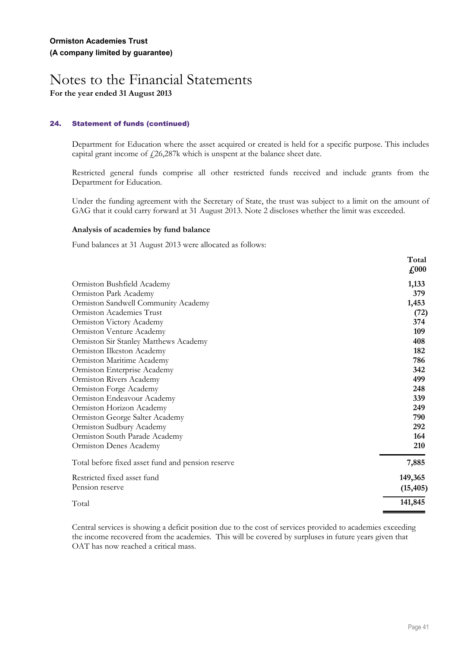**For the year ended 31 August 2013**

### **24. Statement of funds (continued)**

Department for Education where the asset acquired or created is held for a specific purpose. This includes capital grant income of  $f_{26,287k}$  which is unspent at the balance sheet date.

Restricted general funds comprise all other restricted funds received and include grants from the Department for Education.

Under the funding agreement with the Secretary of State, the trust was subject to a limit on the amount of GAG that it could carry forward at 31 August 2013. Note 2 discloses whether the limit was exceeded.

### **Analysis of academies by fund balance**

Fund balances at 31 August 2013 were allocated as follows:

|                                                   | 1 o tai<br>$\textbf{\textsterling}000$ |
|---------------------------------------------------|----------------------------------------|
| Ormiston Bushfield Academy                        | 1,133                                  |
| Ormiston Park Academy                             | 379                                    |
| Ormiston Sandwell Community Academy               | 1,453                                  |
| Ormiston Academies Trust                          | (72)                                   |
| Ormiston Victory Academy                          | 374                                    |
| Ormiston Venture Academy                          | 109                                    |
| Ormiston Sir Stanley Matthews Academy             | 408                                    |
| Ormiston Ilkeston Academy                         | 182                                    |
| Ormiston Maritime Academy                         | 786                                    |
| Ormiston Enterprise Academy                       | 342                                    |
| Ormiston Rivers Academy                           | 499                                    |
| Ormiston Forge Academy                            | 248                                    |
| Ormiston Endeavour Academy                        | 339                                    |
| Ormiston Horizon Academy                          | 249                                    |
| Ormiston George Salter Academy                    | 790                                    |
| Ormiston Sudbury Academy                          | 292                                    |
| Ormiston South Parade Academy                     | 164                                    |
| Ormiston Denes Academy                            | 210                                    |
| Total before fixed asset fund and pension reserve | 7,885                                  |
| Restricted fixed asset fund                       | 149,365                                |
| Pension reserve                                   | (15, 405)                              |
| Total                                             | 141,845                                |

Central services is showing a deficit position due to the cost of services provided to academies exceeding the income recovered from the academies. This will be covered by surpluses in future years given that OAT has now reached a critical mass.

**Total**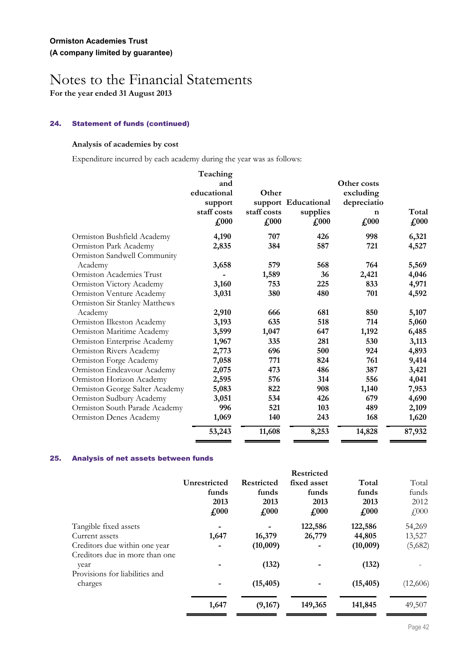### **24. Statement of funds (continued)**

### **Analysis of academies by cost**

Expenditure incurred by each academy during the year was as follows:

|                                | Teaching<br>and<br>educational<br>support<br>staff costs<br>$\pounds 000$ | Other<br>staff costs<br>$\pounds 000$ | support Educational<br>supplies<br>$\pounds 000$ | Other costs<br>excluding<br>depreciatio<br>n<br>$\textbf{\textsterling}000$ | Total<br>$\pounds 000$ |
|--------------------------------|---------------------------------------------------------------------------|---------------------------------------|--------------------------------------------------|-----------------------------------------------------------------------------|------------------------|
| Ormiston Bushfield Academy     | 4,190                                                                     | 707                                   | 426                                              | 998                                                                         | 6,321                  |
| Ormiston Park Academy          | 2,835                                                                     | 384                                   | 587                                              | 721                                                                         | 4,527                  |
| Ormiston Sandwell Community    |                                                                           |                                       |                                                  |                                                                             |                        |
| Academy                        | 3,658                                                                     | 579                                   | 568                                              | 764                                                                         | 5,569                  |
| Ormiston Academies Trust       |                                                                           | 1,589                                 | 36                                               | 2,421                                                                       | 4,046                  |
| Ormiston Victory Academy       | 3,160                                                                     | 753                                   | 225                                              | 833                                                                         | 4,971                  |
| Ormiston Venture Academy       | 3,031                                                                     | 380                                   | 480                                              | 701                                                                         | 4,592                  |
| Ormiston Sir Stanley Matthews  |                                                                           |                                       |                                                  |                                                                             |                        |
| Academy                        | 2,910                                                                     | 666                                   | 681                                              | 850                                                                         | 5,107                  |
| Ormiston Ilkeston Academy      | 3,193                                                                     | 635                                   | 518                                              | 714                                                                         | 5,060                  |
| Ormiston Maritime Academy      | 3,599                                                                     | 1,047                                 | 647                                              | 1,192                                                                       | 6,485                  |
| Ormiston Enterprise Academy    | 1,967                                                                     | 335                                   | 281                                              | 530                                                                         | 3,113                  |
| Ormiston Rivers Academy        | 2,773                                                                     | 696                                   | 500                                              | 924                                                                         | 4,893                  |
| Ormiston Forge Academy         | 7,058                                                                     | 771                                   | 824                                              | 761                                                                         | 9,414                  |
| Ormiston Endeavour Academy     | 2,075                                                                     | 473                                   | 486                                              | 387                                                                         | 3,421                  |
| Ormiston Horizon Academy       | 2,595                                                                     | 576                                   | 314                                              | 556                                                                         | 4,041                  |
| Ormiston George Salter Academy | 5,083                                                                     | 822                                   | 908                                              | 1,140                                                                       | 7,953                  |
| Ormiston Sudbury Academy       | 3,051                                                                     | 534                                   | 426                                              | 679                                                                         | 4,690                  |
| Ormiston South Parade Academy  | 996                                                                       | 521                                   | 103                                              | 489                                                                         | 2,109                  |
| Ormiston Denes Academy         | 1,069                                                                     | 140                                   | 243                                              | 168                                                                         | 1,620                  |
|                                | 53,243                                                                    | 11,608                                | 8,253                                            | 14,828                                                                      | 87,932                 |
|                                |                                                                           |                                       |                                                  |                                                                             |                        |

### **25. Analysis of net assets between funds**

|                                |                   | <b>Restricted</b> |               |              |
|--------------------------------|-------------------|-------------------|---------------|--------------|
| Unrestricted                   | <b>Restricted</b> | fixed asset       | Total         | Total        |
| funds                          | funds             | funds             | funds         | funds        |
| 2013                           | 2013              | 2013              | 2013          | 2012         |
| $\pounds 000$                  | $\pounds 000$     | $\pounds 000$     | $\pounds 000$ | $\sqrt{000}$ |
|                                |                   | 122,586           | 122,586       | 54,269       |
| 1,647                          | 16,379            | 26,779            | 44,805        | 13,527       |
|                                | (10,009)          |                   | (10,009)      | (5,682)      |
| Creditors due in more than one |                   |                   |               |              |
|                                | (132)             |                   | (132)         |              |
|                                |                   |                   |               |              |
|                                | (15, 405)         |                   | (15, 405)     | (12,606)     |
|                                |                   |                   |               | 49,507       |
|                                | 1,647             | (9,167)           | 149,365       | 141,845      |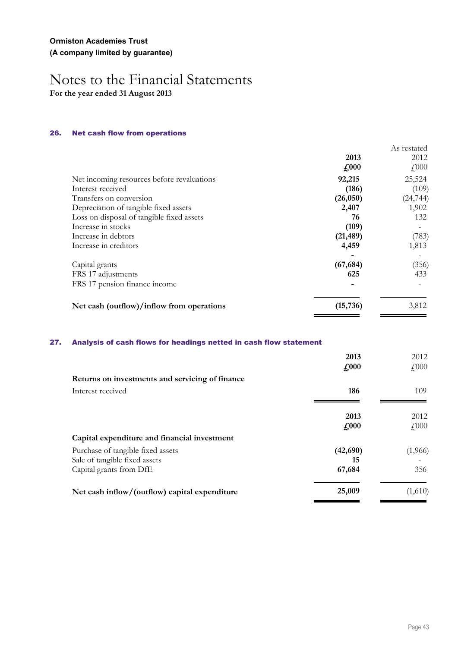**For the year ended 31 August 2013**

### **26. Net cash flow from operations**

|                                            |               | As restated               |
|--------------------------------------------|---------------|---------------------------|
|                                            | 2013          | 2012                      |
|                                            | $\pounds 000$ | $\text{\textsterling}000$ |
| Net incoming resources before revaluations | 92,215        | 25,524                    |
| Interest received                          | (186)         | (109)                     |
| Transfers on conversion                    | (26,050)      | (24, 744)                 |
| Depreciation of tangible fixed assets      | 2,407         | 1,902                     |
| Loss on disposal of tangible fixed assets  | 76            | 132                       |
| Increase in stocks                         | (109)         |                           |
| Increase in debtors                        | (21, 489)     | (783)                     |
| Increase in creditors                      | 4,459         | 1,813                     |
|                                            |               |                           |
| Capital grants                             | (67, 684)     | (356)                     |
| FRS 17 adjustments                         | 625           | 433                       |
| FRS 17 pension finance income              |               |                           |
| Net cash (outflow)/inflow from operations  | (15,736)      | 3,812                     |
|                                            |               |                           |

### **27. Analysis of cash flows for headings netted in cash flow statement**

|                                                                                               | 2013<br>$\textcolor{red}{f_{000}}$ | 2012<br>$\sqrt{000}$       |
|-----------------------------------------------------------------------------------------------|------------------------------------|----------------------------|
| Returns on investments and servicing of finance                                               |                                    |                            |
| Interest received                                                                             | 186                                | 109                        |
|                                                                                               | 2013<br>$\textcolor{red}{f_{000}}$ | 2012<br>$f$ <sub>000</sub> |
| Capital expenditure and financial investment                                                  |                                    |                            |
| Purchase of tangible fixed assets<br>Sale of tangible fixed assets<br>Capital grants from DfE | (42,690)<br>15<br>67,684           | (1,966)<br>356             |
| Net cash inflow/(outflow) capital expenditure                                                 | 25,009                             | (1,610)                    |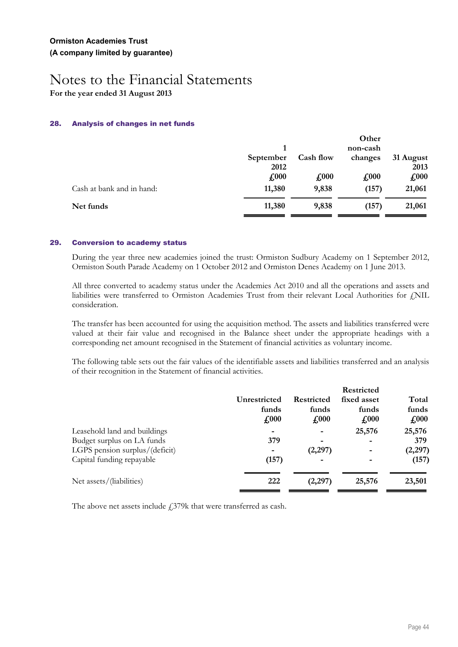**For the year ended 31 August 2013**

### **28. Analysis of changes in net funds**

|                           |               |               | Other         |               |
|---------------------------|---------------|---------------|---------------|---------------|
|                           |               |               | non-cash      |               |
|                           | September     | Cash flow     | changes       | 31 August     |
|                           | 2012          |               |               | 2013          |
|                           | $\pounds 000$ | $\pounds 000$ | $\pounds 000$ | $\pounds 000$ |
| Cash at bank and in hand: | 11,380        | 9,838         | (157)         | 21,061        |
| Net funds                 | 11,380        | 9,838         | (157)         | 21,061        |
|                           |               |               |               |               |

### **29. Conversion to academy status**

During the year three new academies joined the trust: Ormiston Sudbury Academy on 1 September 2012, Ormiston South Parade Academy on 1 October 2012 and Ormiston Denes Academy on 1 June 2013.

All three converted to academy status under the Academies Act 2010 and all the operations and assets and liabilities were transferred to Ormiston Academies Trust from their relevant Local Authorities for LNIL consideration.

The transfer has been accounted for using the acquisition method. The assets and liabilities transferred were valued at their fair value and recognised in the Balance sheet under the appropriate headings with a corresponding net amount recognised in the Statement of financial activities as voluntary income.

The following table sets out the fair values of the identifiable assets and liabilities transferred and an analysis of their recognition in the Statement of financial activities.

|                                | Unrestricted<br>funds<br>$\pounds$ 000 | <b>Restricted</b><br>funds<br>$\pounds 000$ | <b>Restricted</b><br>fixed asset<br>funds<br>$\textbf{\textsterling}000$ | Total<br>funds<br>$\textbf{\textsterling}000$ |
|--------------------------------|----------------------------------------|---------------------------------------------|--------------------------------------------------------------------------|-----------------------------------------------|
| Leasehold land and buildings   | $\overline{\phantom{0}}$               | $\overline{\phantom{a}}$                    | 25,576                                                                   | 25,576                                        |
| Budget surplus on LA funds     | 379                                    | $\blacksquare$                              | $\overline{\phantom{0}}$                                                 | 379                                           |
| LGPS pension surplus/(deficit) | ۰                                      | (2,297)                                     | $\overline{\phantom{0}}$                                                 | (2, 297)                                      |
| Capital funding repayable      | (157)                                  | $\overline{\phantom{a}}$                    |                                                                          | (157)                                         |
| Net assets/(liabilities)       | 222                                    | (2, 297)                                    | 25,576                                                                   | 23,501                                        |

The above net assets include  $\frac{2}{379}$ k that were transferred as cash.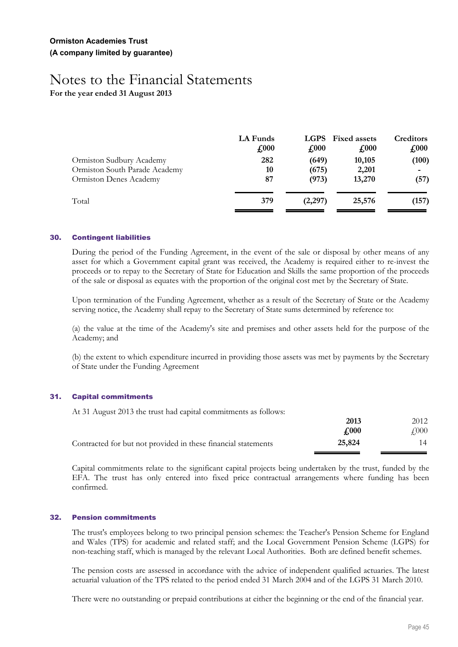**For the year ended 31 August 2013**

|                               | LA Funds<br>$\pounds 000$ | $\pounds 000$ | <b>LGPS</b> Fixed assets<br>$\pounds 000$ | <b>Creditors</b><br>$\pounds 000$ |
|-------------------------------|---------------------------|---------------|-------------------------------------------|-----------------------------------|
| Ormiston Sudbury Academy      | 282                       | (649)         | 10,105                                    | (100)                             |
| Ormiston South Parade Academy | 10                        | (675)         | 2,201                                     |                                   |
| Ormiston Denes Academy        | 87                        | (973)         | 13,270                                    | (57)                              |
| Total                         | 379                       | (2,297)       | 25,576                                    | (157)                             |

### **30. Contingent liabilities**

During the period of the Funding Agreement, in the event of the sale or disposal by other means of any asset for which a Government capital grant was received, the Academy is required either to re-invest the proceeds or to repay to the Secretary of State for Education and Skills the same proportion of the proceeds of the sale or disposal as equates with the proportion of the original cost met by the Secretary of State.

Upon termination of the Funding Agreement, whether as a result of the Secretary of State or the Academy serving notice, the Academy shall repay to the Secretary of State sums determined by reference to:

(a) the value at the time of the Academy's site and premises and other assets held for the purpose of the Academy; and

(b) the extent to which expenditure incurred in providing those assets was met by payments by the Secretary of State under the Funding Agreement

### **31. Capital commitments**

At 31 August 2013 the trust had capital commitments as follows:

|                                                               | 2013   | 2012         |
|---------------------------------------------------------------|--------|--------------|
|                                                               | £000   | $\sqrt{000}$ |
| Contracted for but not provided in these financial statements | 25,824 | 14           |

Capital commitments relate to the significant capital projects being undertaken by the trust, funded by the EFA. The trust has only entered into fixed price contractual arrangements where funding has been confirmed.

### **32. Pension commitments**

The trust's employees belong to two principal pension schemes: the Teacher's Pension Scheme for England and Wales (TPS) for academic and related staff; and the Local Government Pension Scheme (LGPS) for non-teaching staff, which is managed by the relevant Local Authorities. Both are defined benefit schemes.

The pension costs are assessed in accordance with the advice of independent qualified actuaries. The latest actuarial valuation of the TPS related to the period ended 31 March 2004 and of the LGPS 31 March 2010.

There were no outstanding or prepaid contributions at either the beginning or the end of the financial year.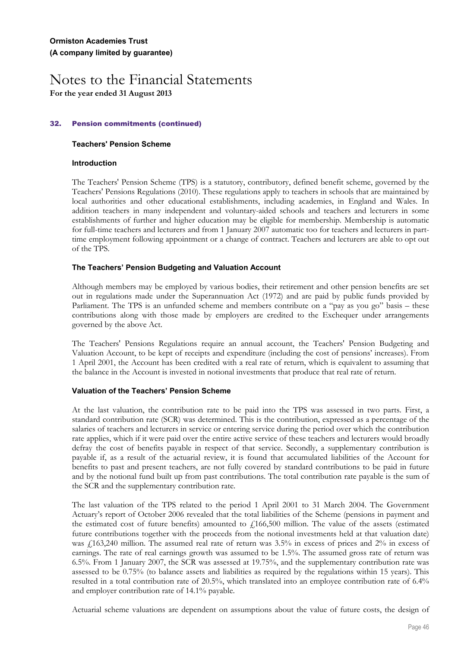### **32. Pension commitments (continued)**

### **Teachers' Pension Scheme**

### **Introduction**

The Teachers' Pension Scheme (TPS) is a statutory, contributory, defined benefit scheme, governed by the Teachers' Pensions Regulations (2010). These regulations apply to teachers in schools that are maintained by local authorities and other educational establishments, including academies, in England and Wales. In addition teachers in many independent and voluntary-aided schools and teachers and lecturers in some establishments of further and higher education may be eligible for membership. Membership is automatic for full-time teachers and lecturers and from 1 January 2007 automatic too for teachers and lecturers in parttime employment following appointment or a change of contract. Teachers and lecturers are able to opt out of the TPS.

### **The Teachers' Pension Budgeting and Valuation Account**

Although members may be employed by various bodies, their retirement and other pension benefits are set out in regulations made under the Superannuation Act (1972) and are paid by public funds provided by Parliament. The TPS is an unfunded scheme and members contribute on a "pay as you go" basis – these contributions along with those made by employers are credited to the Exchequer under arrangements governed by the above Act.

The Teachers' Pensions Regulations require an annual account, the Teachers' Pension Budgeting and Valuation Account, to be kept of receipts and expenditure (including the cost of pensions' increases). From 1 April 2001, the Account has been credited with a real rate of return, which is equivalent to assuming that the balance in the Account is invested in notional investments that produce that real rate of return.

### **Valuation of the Teachers' Pension Scheme**

At the last valuation, the contribution rate to be paid into the TPS was assessed in two parts. First, a standard contribution rate (SCR) was determined. This is the contribution, expressed as a percentage of the salaries of teachers and lecturers in service or entering service during the period over which the contribution rate applies, which if it were paid over the entire active service of these teachers and lecturers would broadly defray the cost of benefits payable in respect of that service. Secondly, a supplementary contribution is payable if, as a result of the actuarial review, it is found that accumulated liabilities of the Account for benefits to past and present teachers, are not fully covered by standard contributions to be paid in future and by the notional fund built up from past contributions. The total contribution rate payable is the sum of the SCR and the supplementary contribution rate.

The last valuation of the TPS related to the period 1 April 2001 to 31 March 2004. The Government Actuary's report of October 2006 revealed that the total liabilities of the Scheme (pensions in payment and the estimated cost of future benefits) amounted to  $f<sub>1</sub>166,500$  million. The value of the assets (estimated future contributions together with the proceeds from the notional investments held at that valuation date) was £163,240 million. The assumed real rate of return was 3.5% in excess of prices and 2% in excess of earnings. The rate of real earnings growth was assumed to be 1.5%. The assumed gross rate of return was 6.5%. From 1 January 2007, the SCR was assessed at 19.75%, and the supplementary contribution rate was assessed to be 0.75% (to balance assets and liabilities as required by the regulations within 15 years). This resulted in a total contribution rate of 20.5%, which translated into an employee contribution rate of 6.4% and employer contribution rate of 14.1% payable.

Actuarial scheme valuations are dependent on assumptions about the value of future costs, the design of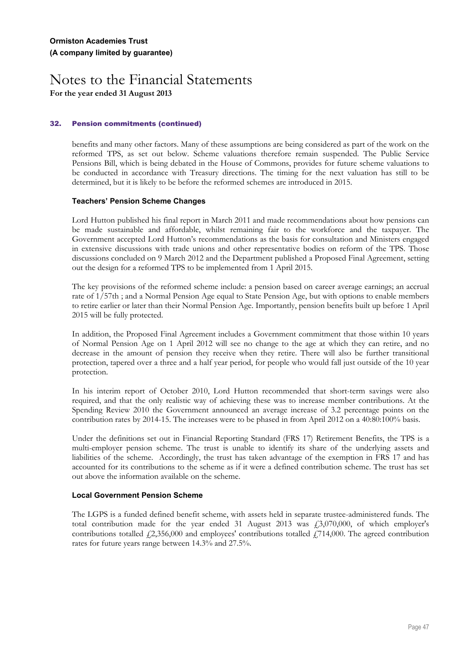### **32. Pension commitments (continued)**

benefits and many other factors. Many of these assumptions are being considered as part of the work on the reformed TPS, as set out below. Scheme valuations therefore remain suspended. The Public Service Pensions Bill, which is being debated in the House of Commons, provides for future scheme valuations to be conducted in accordance with Treasury directions. The timing for the next valuation has still to be determined, but it is likely to be before the reformed schemes are introduced in 2015.

### **Teachers' Pension Scheme Changes**

Lord Hutton published his final report in March 2011 and made recommendations about how pensions can be made sustainable and affordable, whilst remaining fair to the workforce and the taxpayer. The Government accepted Lord Hutton's recommendations as the basis for consultation and Ministers engaged in extensive discussions with trade unions and other representative bodies on reform of the TPS. Those discussions concluded on 9 March 2012 and the Department published a Proposed Final Agreement, setting out the design for a reformed TPS to be implemented from 1 April 2015.

The key provisions of the reformed scheme include: a pension based on career average earnings; an accrual rate of 1/57th ; and a Normal Pension Age equal to State Pension Age, but with options to enable members to retire earlier or later than their Normal Pension Age. Importantly, pension benefits built up before 1 April 2015 will be fully protected.

In addition, the Proposed Final Agreement includes a Government commitment that those within 10 years of Normal Pension Age on 1 April 2012 will see no change to the age at which they can retire, and no decrease in the amount of pension they receive when they retire. There will also be further transitional protection, tapered over a three and a half year period, for people who would fall just outside of the 10 year protection.

In his interim report of October 2010, Lord Hutton recommended that short-term savings were also required, and that the only realistic way of achieving these was to increase member contributions. At the Spending Review 2010 the Government announced an average increase of 3.2 percentage points on the contribution rates by 2014-15. The increases were to be phased in from April 2012 on a 40:80:100% basis.

Under the definitions set out in Financial Reporting Standard (FRS 17) Retirement Benefits, the TPS is a multi-employer pension scheme. The trust is unable to identify its share of the underlying assets and liabilities of the scheme. Accordingly, the trust has taken advantage of the exemption in FRS 17 and has accounted for its contributions to the scheme as if it were a defined contribution scheme. The trust has set out above the information available on the scheme.

### **Local Government Pension Scheme**

The LGPS is a funded defined benefit scheme, with assets held in separate trustee-administered funds. The total contribution made for the year ended 31 August 2013 was  $\frac{1}{2}3,070,000$ , of which employer's contributions totalled  $\dot{\epsilon}$ 2,356,000 and employees' contributions totalled  $\dot{\epsilon}$ 714,000. The agreed contribution rates for future years range between 14.3% and 27.5%.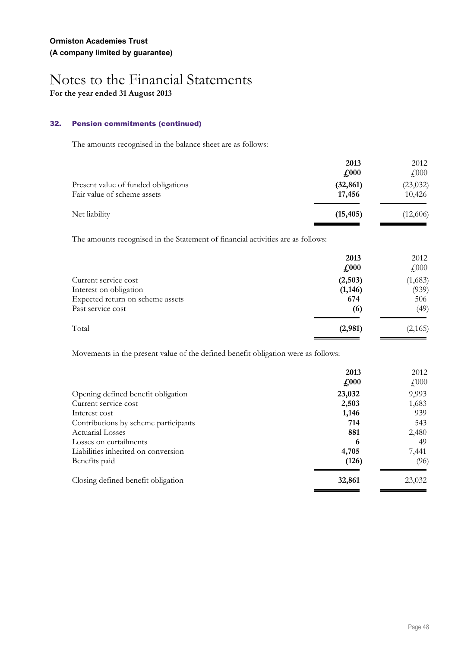### **32. Pension commitments (continued)**

The amounts recognised in the balance sheet are as follows:

|                                     | 2013                       | 2012         |
|-------------------------------------|----------------------------|--------------|
|                                     | $\textcolor{red}{f_{000}}$ | $\angle 000$ |
| Present value of funded obligations | (32, 861)                  | (23, 032)    |
| Fair value of scheme assets         | 17,456                     | 10,426       |
| Net liability                       | (15, 405)                  | (12,606)     |

The amounts recognised in the Statement of financial activities are as follows:

|                                  | 2013<br>$\textbf{\textsterling}000$ | 2012<br>$\text{\textsterling}000$ |
|----------------------------------|-------------------------------------|-----------------------------------|
| Current service cost             | (2,503)                             | (1,683)                           |
| Interest on obligation           | (1, 146)                            | (939)                             |
| Expected return on scheme assets | 674                                 | 506                               |
| Past service cost                | (6)                                 | (49)                              |
| Total                            | (2,981)                             | (2,165)                           |

Movements in the present value of the defined benefit obligation were as follows:

|                                      | 2013<br>$\textbf{\textsterling}000$ | 2012<br>$\text{\textsterling}000$ |
|--------------------------------------|-------------------------------------|-----------------------------------|
| Opening defined benefit obligation   | 23,032                              | 9,993                             |
| Current service cost                 | 2,503                               | 1,683                             |
| Interest cost                        | 1,146                               | 939                               |
| Contributions by scheme participants | 714                                 | 543                               |
| Actuarial Losses                     | 881                                 | 2,480                             |
| Losses on curtailments               | 6                                   | 49                                |
| Liabilities inherited on conversion  | 4,705                               | 7,441                             |
| Benefits paid                        | (126)                               | (96)                              |
| Closing defined benefit obligation   | 32,861                              | 23,032                            |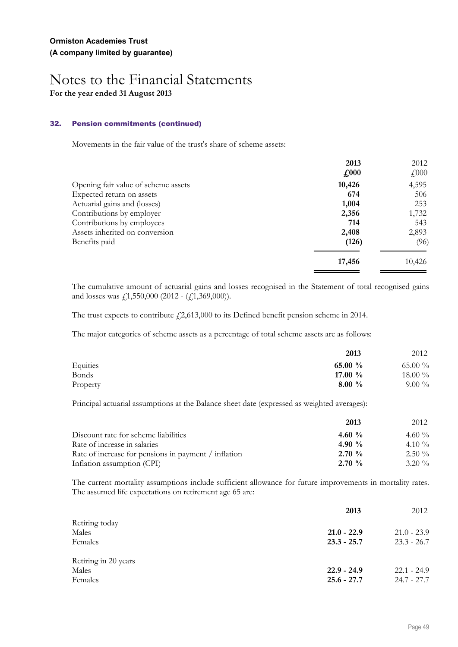### **32. Pension commitments (continued)**

Movements in the fair value of the trust's share of scheme assets:

|                                     | 2013          | 2012                |
|-------------------------------------|---------------|---------------------|
|                                     | $\pounds 000$ | $\textsterling 000$ |
| Opening fair value of scheme assets | 10,426        | 4,595               |
| Expected return on assets           | 674           | 506                 |
| Actuarial gains and (losses)        | 1,004         | 253                 |
| Contributions by employer           | 2,356         | 1,732               |
| Contributions by employees          | 714           | 543                 |
| Assets inherited on conversion      | 2,408         | 2,893               |
| Benefits paid                       | (126)         | (96)                |
|                                     | 17,456        | 10,426              |

The cumulative amount of actuarial gains and losses recognised in the Statement of total recognised gains and losses was £1,550,000 (2012 - (£1,369,000))*.*

The trust expects to contribute  $\text{\textsterling}2,613,000$  to its Defined benefit pension scheme in 2014.

The major categories of scheme assets as a percentage of total scheme assets are as follows:

|              | 2013       | 2012       |
|--------------|------------|------------|
| Equities     | 65.00 $\%$ | 65.00 $\%$ |
| <b>Bonds</b> | 17.00 $\%$ | 18.00 %    |
| Property     | $8.00\%$   | $9.00\%$   |

Principal actuarial assumptions at the Balance sheet date (expressed as weighted averages):

|                                                      | 2013      | 2012      |
|------------------------------------------------------|-----------|-----------|
| Discount rate for scheme liabilities                 | 4.60 $\%$ | 4.60 $\%$ |
| Rate of increase in salaries                         | 4.90 $\%$ | 4.10 $\%$ |
| Rate of increase for pensions in payment / inflation | $2.70\%$  | $2.50\%$  |
| Inflation assumption (CPI)                           | $2.70\%$  | $3.20\%$  |

The current mortality assumptions include sufficient allowance for future improvements in mortality rates. The assumed life expectations on retirement age 65 are:

|                      | 2013          | 2012          |
|----------------------|---------------|---------------|
| Retiring today       |               |               |
| Males                | $21.0 - 22.9$ | $21.0 - 23.9$ |
| Females              | $23.3 - 25.7$ | $23.3 - 26.7$ |
| Retiring in 20 years |               |               |
| Males                | $22.9 - 24.9$ | $22.1 - 24.9$ |
| Females              | $25.6 - 27.7$ | 24.7 - 27.7   |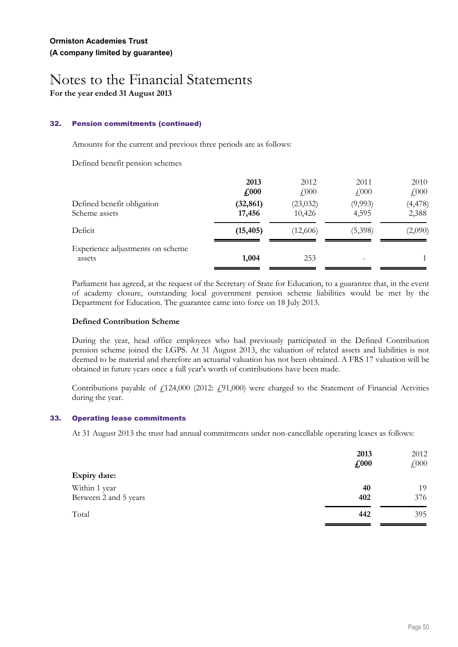### **32. Pension commitments (continued)**

Amounts for the current and previous three periods are as follows:

Defined benefit pension schemes

|                                            | 2013          | 2012         | 2011      | 2010                      |
|--------------------------------------------|---------------|--------------|-----------|---------------------------|
|                                            | $\pounds 000$ | $\sqrt{000}$ | $f_{000}$ | $\text{\textsterling}000$ |
| Defined benefit obligation                 | (32, 861)     | (23, 032)    | (9,993)   | (4, 478)                  |
| Scheme assets                              | 17,456        | 10,426       | 4,595     | 2,388                     |
| Deficit                                    | (15, 405)     | (12,606)     | (5,398)   | (2,090)                   |
| Experience adjustments on scheme<br>assets | 1,004         | 253          |           |                           |

Parliament has agreed, at the request of the Secretary of State for Education, to a guarantee that, in the event of academy closure, outstanding local government pension scheme liabilities would be met by the Department for Education. The guarantee came into force on 18 July 2013.

### **Defined Contribution Scheme**

During the year, head office employees who had previously participated in the Defined Contribution pension scheme joined the LGPS. At 31 August 2013, the valuation of related assets and liabilities is not deemed to be material and therefore an actuarial valuation has not been obtained. A FRS 17 valuation will be obtained in future years once a full year's worth of contributions have been made.

Contributions payable of  $f_1$ 124,000 (2012:  $f_2$ 91,000) were charged to the Statement of Financial Actvities during the year.

### **33. Operating lease commitments**

At 31 August 2013 the trust had annual commitments under non-cancellable operating leases as follows:

|                       | 2013<br>£000 | 2012<br>£000 |
|-----------------------|--------------|--------------|
| <b>Expiry date:</b>   |              |              |
| Within 1 year         | 40           | 19           |
| Between 2 and 5 years | 402          | 376          |
| Total                 | 442          | 395          |